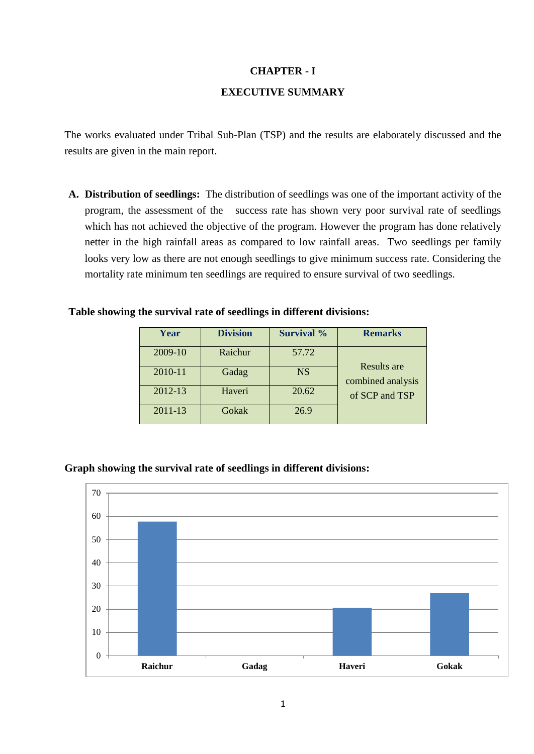## **CHAPTER - I**

## **EXECUTIVE SUMMARY**

The works evaluated under Tribal Sub-Plan (TSP) and the results are elaborately discussed and the results are given in the main report.

**A. Distribution of seedlings:** The distribution of seedlings was one of the important activity of the program, the assessment of the success rate has shown very poor survival rate of seedlings which has not achieved the objective of the program. However the program has done relatively netter in the high rainfall areas as compared to low rainfall areas. Two seedlings per family looks very low as there are not enough seedlings to give minimum success rate. Considering the mortality rate minimum ten seedlings are required to ensure survival of two seedlings.

#### **Table showing the survival rate of seedlings in different divisions:**

| Year    | <b>Division</b> | <b>Survival</b> % | <b>Remarks</b>    |
|---------|-----------------|-------------------|-------------------|
| 2009-10 | Raichur         | 57.72             | Results are       |
| 2010-11 | Gadag           | <b>NS</b>         | combined analysis |
| 2012-13 | Haveri          | 20.62             | of SCP and TSP    |
| 2011-13 | Gokak           | 26.9              |                   |

## **Graph showing the survival rate of seedlings in different divisions:**

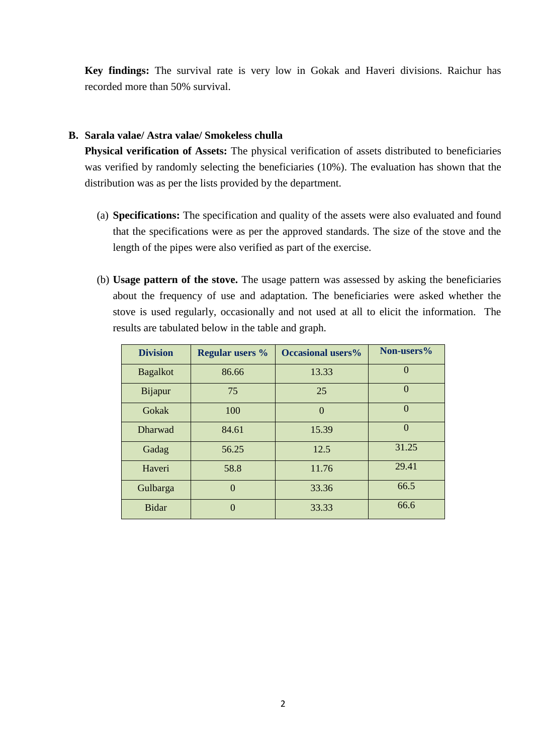**Key findings:** The survival rate is very low in Gokak and Haveri divisions. Raichur has recorded more than 50% survival.

## **B. Sarala valae/ Astra valae/ Smokeless chulla**

**Physical verification of Assets:** The physical verification of assets distributed to beneficiaries was verified by randomly selecting the beneficiaries (10%). The evaluation has shown that the distribution was as per the lists provided by the department.

- (a) **Specifications:** The specification and quality of the assets were also evaluated and found that the specifications were as per the approved standards. The size of the stove and the length of the pipes were also verified as part of the exercise.
- (b) **Usage pattern of the stove.** The usage pattern was assessed by asking the beneficiaries about the frequency of use and adaptation. The beneficiaries were asked whether the stove is used regularly, occasionally and not used at all to elicit the information. The results are tabulated below in the table and graph.

| <b>Division</b> | <b>Regular users %</b> | <b>Occasional users%</b> | Non-users% |
|-----------------|------------------------|--------------------------|------------|
| <b>Bagalkot</b> | 86.66                  | 13.33                    | $\Omega$   |
| <b>Bijapur</b>  | 75                     | 25                       | $\Omega$   |
| Gokak           | 100                    | $\overline{0}$           | $\Omega$   |
| <b>Dharwad</b>  | 84.61                  | 15.39                    | $\Omega$   |
| Gadag           | 56.25                  | 12.5                     | 31.25      |
| Haveri          | 58.8                   | 11.76                    | 29.41      |
| Gulbarga        | $\Omega$               | 33.36                    | 66.5       |
| <b>Bidar</b>    | $\Omega$               | 33.33                    | 66.6       |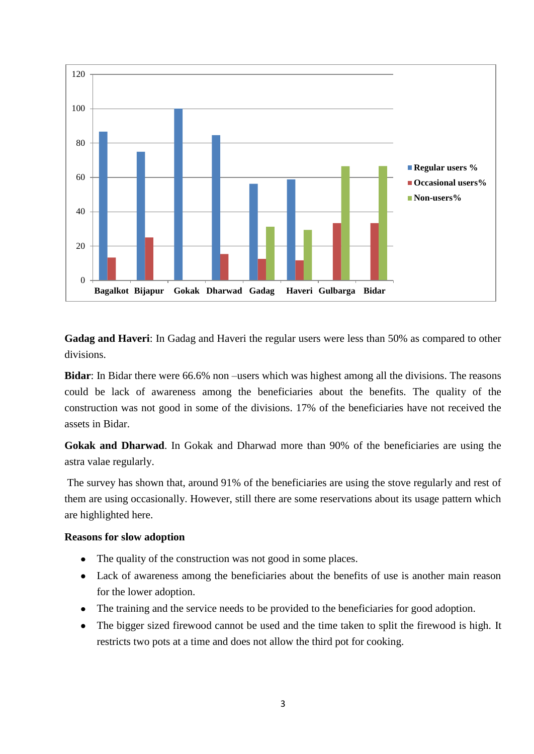

**Gadag and Haveri**: In Gadag and Haveri the regular users were less than 50% as compared to other divisions.

**Bidar**: In Bidar there were 66.6% non –users which was highest among all the divisions. The reasons could be lack of awareness among the beneficiaries about the benefits. The quality of the construction was not good in some of the divisions. 17% of the beneficiaries have not received the assets in Bidar.

**Gokak and Dharwad**. In Gokak and Dharwad more than 90% of the beneficiaries are using the astra valae regularly.

The survey has shown that, around 91% of the beneficiaries are using the stove regularly and rest of them are using occasionally. However, still there are some reservations about its usage pattern which are highlighted here.

## **Reasons for slow adoption**

- The quality of the construction was not good in some places.
- Lack of awareness among the beneficiaries about the benefits of use is another main reason for the lower adoption.
- The training and the service needs to be provided to the beneficiaries for good adoption.
- The bigger sized firewood cannot be used and the time taken to split the firewood is high. It  $\bullet$ restricts two pots at a time and does not allow the third pot for cooking.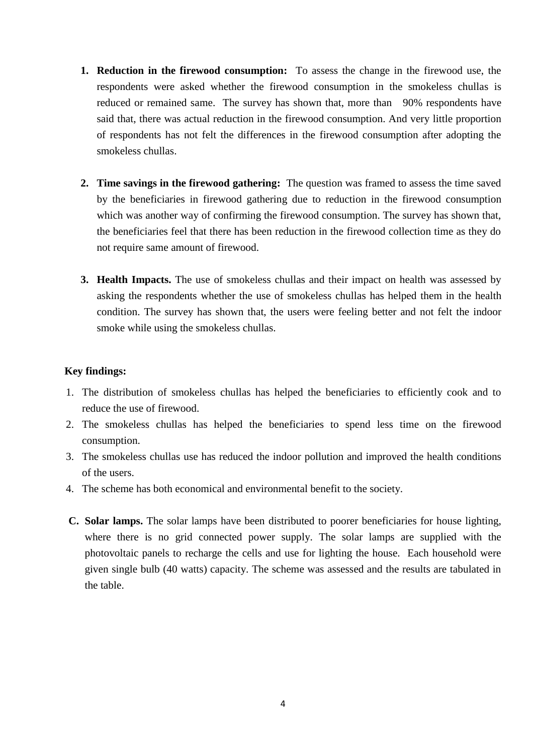- **1. Reduction in the firewood consumption:** To assess the change in the firewood use, the respondents were asked whether the firewood consumption in the smokeless chullas is reduced or remained same. The survey has shown that, more than 90% respondents have said that, there was actual reduction in the firewood consumption. And very little proportion of respondents has not felt the differences in the firewood consumption after adopting the smokeless chullas.
- **2. Time savings in the firewood gathering:** The question was framed to assess the time saved by the beneficiaries in firewood gathering due to reduction in the firewood consumption which was another way of confirming the firewood consumption. The survey has shown that, the beneficiaries feel that there has been reduction in the firewood collection time as they do not require same amount of firewood.
- **3. Health Impacts.** The use of smokeless chullas and their impact on health was assessed by asking the respondents whether the use of smokeless chullas has helped them in the health condition. The survey has shown that, the users were feeling better and not felt the indoor smoke while using the smokeless chullas.

## **Key findings:**

- 1. The distribution of smokeless chullas has helped the beneficiaries to efficiently cook and to reduce the use of firewood.
- 2. The smokeless chullas has helped the beneficiaries to spend less time on the firewood consumption.
- 3. The smokeless chullas use has reduced the indoor pollution and improved the health conditions of the users.
- 4. The scheme has both economical and environmental benefit to the society.
- **C. Solar lamps.** The solar lamps have been distributed to poorer beneficiaries for house lighting, where there is no grid connected power supply. The solar lamps are supplied with the photovoltaic panels to recharge the cells and use for lighting the house. Each household were given single bulb (40 watts) capacity. The scheme was assessed and the results are tabulated in the table.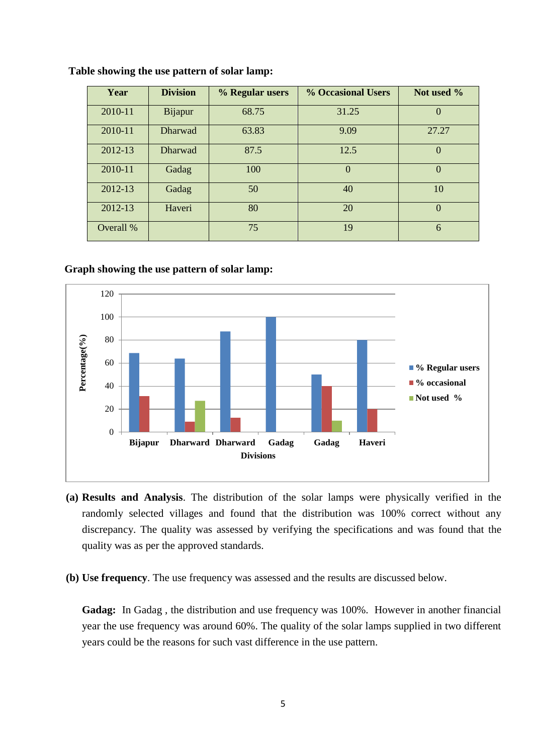| Year      | <b>Division</b> | % Regular users | <b>% Occasional Users</b> | Not used %     |
|-----------|-----------------|-----------------|---------------------------|----------------|
| 2010-11   | Bijapur         | 68.75           | 31.25                     | $\Omega$       |
| 2010-11   | <b>Dharwad</b>  | 63.83           | 9.09                      | 27.27          |
| 2012-13   | <b>Dharwad</b>  | 87.5            | 12.5                      | $\Omega$       |
| 2010-11   | Gadag           | 100             | $\theta$                  | $\Omega$       |
| 2012-13   | Gadag           | 50              | 40                        | 10             |
| 2012-13   | Haveri          | 80              | 20                        | $\overline{0}$ |
| Overall % |                 | 75              | 19                        | 6              |

**Table showing the use pattern of solar lamp:**

#### **Graph showing the use pattern of solar lamp:**



- **(a) Results and Analysis**. The distribution of the solar lamps were physically verified in the randomly selected villages and found that the distribution was 100% correct without any discrepancy. The quality was assessed by verifying the specifications and was found that the quality was as per the approved standards.
- **(b) Use frequency**. The use frequency was assessed and the results are discussed below.

**Gadag:** In Gadag , the distribution and use frequency was 100%. However in another financial year the use frequency was around 60%. The quality of the solar lamps supplied in two different years could be the reasons for such vast difference in the use pattern.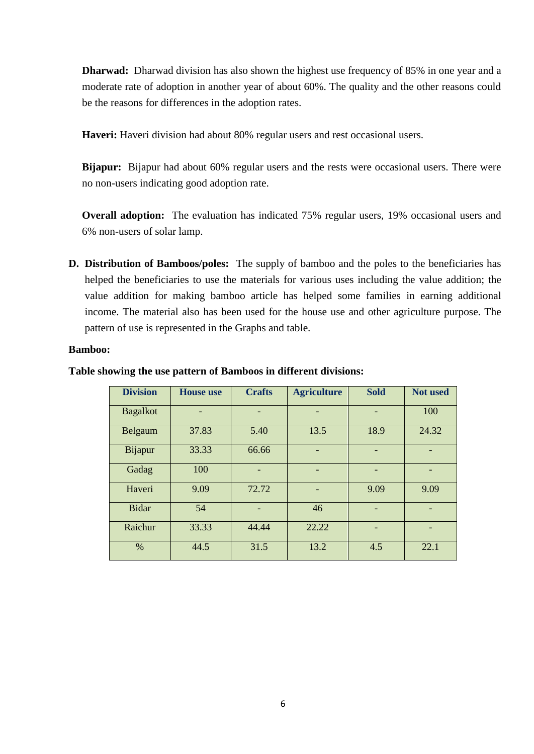**Dharwad:** Dharwad division has also shown the highest use frequency of 85% in one year and a moderate rate of adoption in another year of about 60%. The quality and the other reasons could be the reasons for differences in the adoption rates.

**Haveri:** Haveri division had about 80% regular users and rest occasional users.

**Bijapur:** Bijapur had about 60% regular users and the rests were occasional users. There were no non-users indicating good adoption rate.

**Overall adoption:** The evaluation has indicated 75% regular users, 19% occasional users and 6% non-users of solar lamp.

**D. Distribution of Bamboos/poles:** The supply of bamboo and the poles to the beneficiaries has helped the beneficiaries to use the materials for various uses including the value addition; the value addition for making bamboo article has helped some families in earning additional income. The material also has been used for the house use and other agriculture purpose. The pattern of use is represented in the Graphs and table.

#### **Bamboo:**

| <b>Division</b> | <b>House</b> use | <b>Crafts</b> | <b>Agriculture</b> | <b>Sold</b> | <b>Not used</b> |
|-----------------|------------------|---------------|--------------------|-------------|-----------------|
| <b>Bagalkot</b> |                  | ٠             |                    |             | 100             |
| Belgaum         | 37.83            | 5.40          | 13.5               | 18.9        | 24.32           |
| Bijapur         | 33.33            | 66.66         |                    |             |                 |
| Gadag           | 100              | -             |                    |             |                 |
| Haveri          | 9.09             | 72.72         | -                  | 9.09        | 9.09            |
| <b>Bidar</b>    | 54               |               | 46                 |             |                 |
| Raichur         | 33.33            | 44.44         | 22.22              |             |                 |
| $\%$            | 44.5             | 31.5          | 13.2               | 4.5         | 22.1            |

#### **Table showing the use pattern of Bamboos in different divisions:**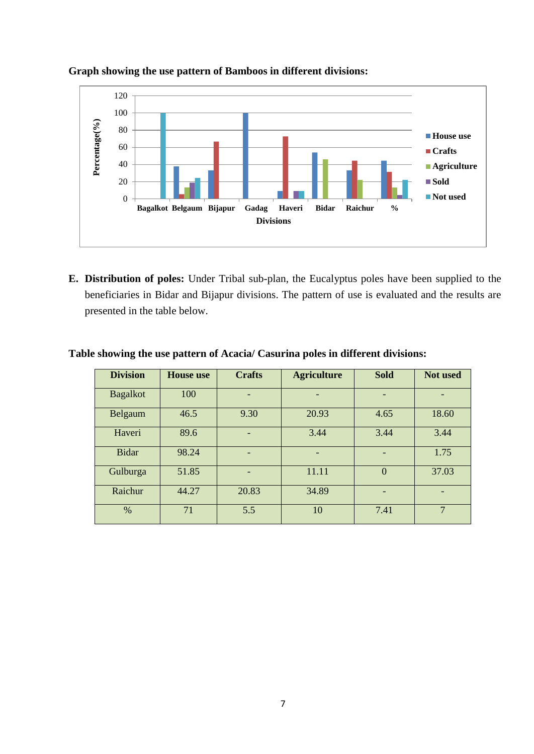

#### **Graph showing the use pattern of Bamboos in different divisions:**

**E. Distribution of poles:** Under Tribal sub-plan, the Eucalyptus poles have been supplied to the beneficiaries in Bidar and Bijapur divisions. The pattern of use is evaluated and the results are presented in the table below.

| <b>Division</b> | <b>House</b> use | <b>Crafts</b>            | <b>Agriculture</b> | <b>Sold</b>    | Not used       |
|-----------------|------------------|--------------------------|--------------------|----------------|----------------|
| <b>Bagalkot</b> | 100              | $\overline{\phantom{0}}$ | -                  |                |                |
| Belgaum         | 46.5             | 9.30                     | 20.93              | 4.65           | 18.60          |
| Haveri          | 89.6             |                          | 3.44               | 3.44           | 3.44           |
| <b>Bidar</b>    | 98.24            |                          | -                  |                | 1.75           |
| Gulburga        | 51.85            | $\overline{\phantom{0}}$ | 11.11              | $\overline{0}$ | 37.03          |
| Raichur         | 44.27            | 20.83                    | 34.89              |                |                |
| $\%$            | 71               | 5.5                      | 10                 | 7.41           | $\overline{7}$ |

## **Table showing the use pattern of Acacia/ Casurina poles in different divisions:**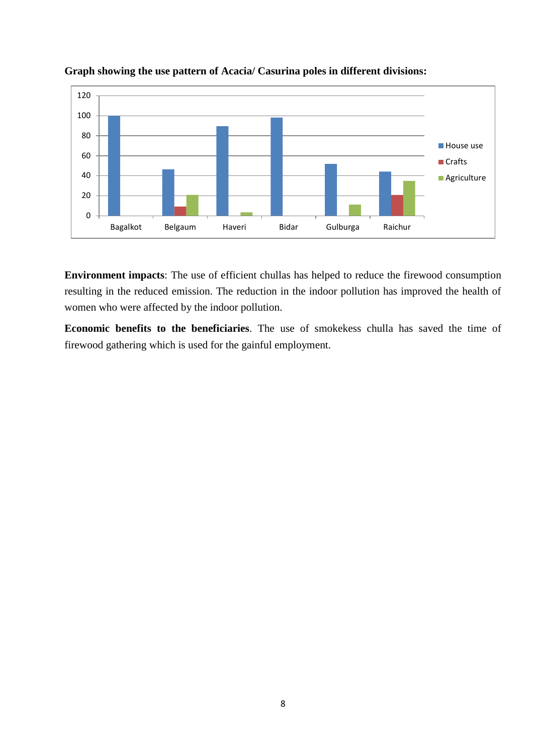



**Environment impacts**: The use of efficient chullas has helped to reduce the firewood consumption resulting in the reduced emission. The reduction in the indoor pollution has improved the health of women who were affected by the indoor pollution.

**Economic benefits to the beneficiaries**. The use of smokekess chulla has saved the time of firewood gathering which is used for the gainful employment.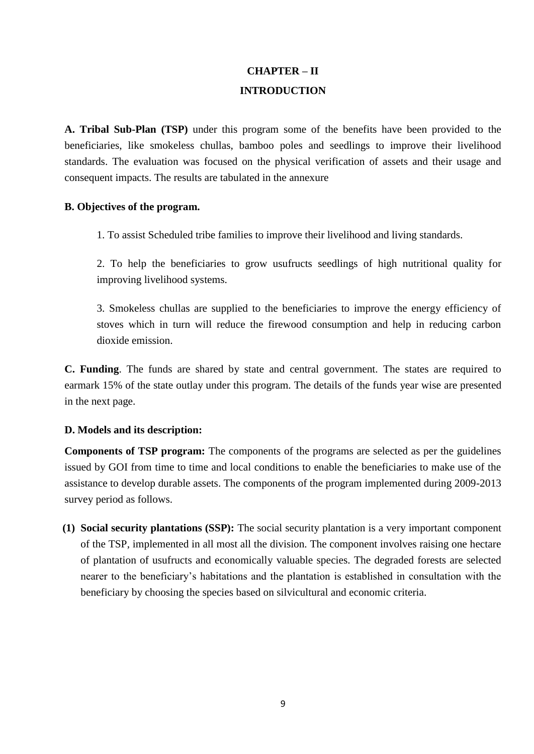# **CHAPTER – II INTRODUCTION**

**A. Tribal Sub-Plan (TSP)** under this program some of the benefits have been provided to the beneficiaries, like smokeless chullas, bamboo poles and seedlings to improve their livelihood standards. The evaluation was focused on the physical verification of assets and their usage and consequent impacts. The results are tabulated in the annexure

## **B. Objectives of the program.**

1. To assist Scheduled tribe families to improve their livelihood and living standards.

2. To help the beneficiaries to grow usufructs seedlings of high nutritional quality for improving livelihood systems.

3. Smokeless chullas are supplied to the beneficiaries to improve the energy efficiency of stoves which in turn will reduce the firewood consumption and help in reducing carbon dioxide emission.

**C. Funding**. The funds are shared by state and central government. The states are required to earmark 15% of the state outlay under this program. The details of the funds year wise are presented in the next page.

## **D. Models and its description:**

**Components of TSP program:** The components of the programs are selected as per the guidelines issued by GOI from time to time and local conditions to enable the beneficiaries to make use of the assistance to develop durable assets. The components of the program implemented during 2009-2013 survey period as follows.

**(1) Social security plantations (SSP):** The social security plantation is a very important component of the TSP, implemented in all most all the division. The component involves raising one hectare of plantation of usufructs and economically valuable species. The degraded forests are selected nearer to the beneficiary's habitations and the plantation is established in consultation with the beneficiary by choosing the species based on silvicultural and economic criteria.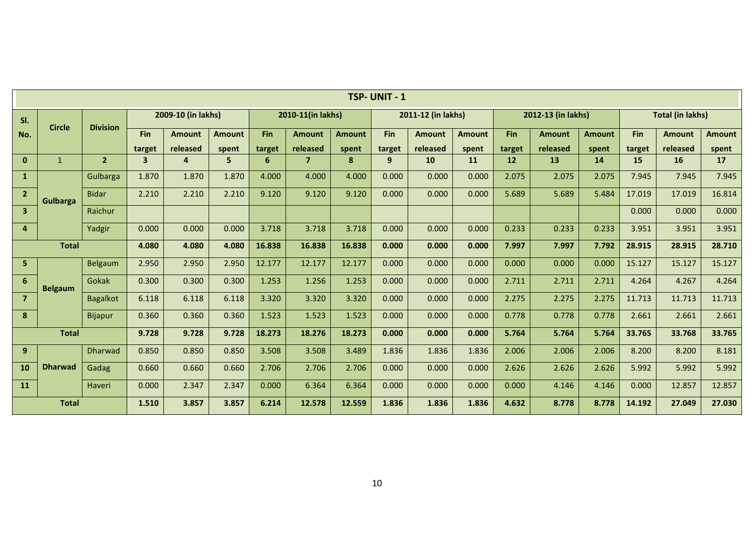|                         | TSP-UNIT-1      |                 |                |                    |               |        |                   |               |            |                    |               |            |                    |               |            |                         |               |
|-------------------------|-----------------|-----------------|----------------|--------------------|---------------|--------|-------------------|---------------|------------|--------------------|---------------|------------|--------------------|---------------|------------|-------------------------|---------------|
| SI.                     | <b>Circle</b>   | <b>Division</b> |                | 2009-10 (in lakhs) |               |        | 2010-11(in lakhs) |               |            | 2011-12 (in lakhs) |               |            | 2012-13 (in lakhs) |               |            | <b>Total (in lakhs)</b> |               |
| No.                     |                 |                 | <b>Fin</b>     | <b>Amount</b>      | <b>Amount</b> | Fin    | <b>Amount</b>     | <b>Amount</b> | <b>Fin</b> | <b>Amount</b>      | <b>Amount</b> | <b>Fin</b> | <b>Amount</b>      | <b>Amount</b> | <b>Fin</b> | <b>Amount</b>           | <b>Amount</b> |
|                         |                 |                 | target         | released           | spent         | target | released          | spent         | target     | released           | spent         | target     | released           | spent         | target     | released                | spent         |
| $\mathbf{0}$            | $\mathbf{1}$    | $\overline{2}$  | $\overline{3}$ | $\mathbf{a}$       | 5             | 6      | 7                 | 8             | 9          | 10                 | <b>11</b>     | 12         | 13                 | 14            | 15         | <b>16</b>               | <b>17</b>     |
| $\mathbf{1}$            |                 | Gulbarga        | 1.870          | 1.870              | 1.870         | 4.000  | 4.000             | 4.000         | 0.000      | 0.000              | 0.000         | 2.075      | 2.075              | 2.075         | 7.945      | 7.945                   | 7.945         |
| $\overline{2}$          | <b>Gulbarga</b> | <b>Bidar</b>    | 2.210          | 2.210              | 2.210         | 9.120  | 9.120             | 9.120         | 0.000      | 0.000              | 0.000         | 5.689      | 5.689              | 5.484         | 17.019     | 17.019                  | 16.814        |
| $\overline{\mathbf{3}}$ |                 | Raichur         |                |                    |               |        |                   |               |            |                    |               |            |                    |               | 0.000      | 0.000                   | 0.000         |
| 4                       |                 | Yadgir          | 0.000          | 0.000              | 0.000         | 3.718  | 3.718             | 3.718         | 0.000      | 0.000              | 0.000         | 0.233      | 0.233              | 0.233         | 3.951      | 3.951                   | 3.951         |
|                         | <b>Total</b>    |                 | 4.080          | 4.080              | 4.080         | 16.838 | 16.838            | 16.838        | 0.000      | 0.000              | 0.000         | 7.997      | 7.997              | 7.792         | 28.915     | 28.915                  | 28.710        |
| 5 <sub>1</sub>          |                 | Belgaum         | 2.950          | 2.950              | 2.950         | 12.177 | 12.177            | 12.177        | 0.000      | 0.000              | 0.000         | 0.000      | 0.000              | 0.000         | 15.127     | 15.127                  | 15.127        |
| $6\phantom{a}$          | <b>Belgaum</b>  | Gokak           | 0.300          | 0.300              | 0.300         | 1.253  | 1.256             | 1.253         | 0.000      | 0.000              | 0.000         | 2.711      | 2.711              | 2.711         | 4.264      | 4.267                   | 4.264         |
| $\overline{7}$          |                 | <b>Bagalkot</b> | 6.118          | 6.118              | 6.118         | 3.320  | 3.320             | 3.320         | 0.000      | 0.000              | 0.000         | 2.275      | 2.275              | 2.275         | 11.713     | 11.713                  | 11.713        |
| 8                       |                 | <b>Bijapur</b>  | 0.360          | 0.360              | 0.360         | 1.523  | 1.523             | 1.523         | 0.000      | 0.000              | 0.000         | 0.778      | 0.778              | 0.778         | 2.661      | 2.661                   | 2.661         |
|                         | <b>Total</b>    |                 | 9.728          | 9.728              | 9.728         | 18.273 | 18.276            | 18.273        | 0.000      | 0.000              | 0.000         | 5.764      | 5.764              | 5.764         | 33.765     | 33.768                  | 33.765        |
| 9 <sup>°</sup>          |                 | <b>Dharwad</b>  | 0.850          | 0.850              | 0.850         | 3.508  | 3.508             | 3.489         | 1.836      | 1.836              | 1.836         | 2.006      | 2.006              | 2.006         | 8.200      | 8.200                   | 8.181         |
| 10                      | <b>Dharwad</b>  | Gadag           | 0.660          | 0.660              | 0.660         | 2.706  | 2.706             | 2.706         | 0.000      | 0.000              | 0.000         | 2.626      | 2.626              | 2.626         | 5.992      | 5.992                   | 5.992         |
| <b>11</b>               |                 | Haveri          | 0.000          | 2.347              | 2.347         | 0.000  | 6.364             | 6.364         | 0.000      | 0.000              | 0.000         | 0.000      | 4.146              | 4.146         | 0.000      | 12.857                  | 12.857        |
|                         | <b>Total</b>    |                 | 1.510          | 3.857              | 3.857         | 6.214  | 12.578            | 12.559        | 1.836      | 1.836              | 1.836         | 4.632      | 8.778              | 8.778         | 14.192     | 27.049                  | 27.030        |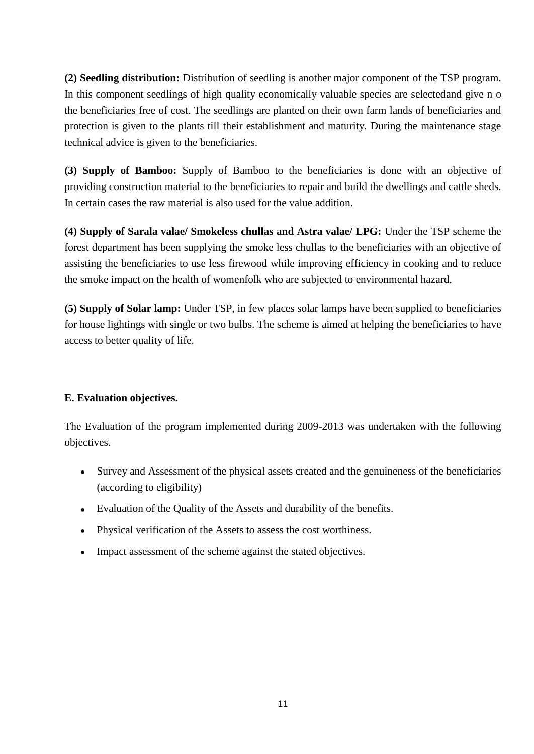**(2) Seedling distribution:** Distribution of seedling is another major component of the TSP program. In this component seedlings of high quality economically valuable species are selectedand give n o the beneficiaries free of cost. The seedlings are planted on their own farm lands of beneficiaries and protection is given to the plants till their establishment and maturity. During the maintenance stage technical advice is given to the beneficiaries.

**(3) Supply of Bamboo:** Supply of Bamboo to the beneficiaries is done with an objective of providing construction material to the beneficiaries to repair and build the dwellings and cattle sheds. In certain cases the raw material is also used for the value addition.

**(4) Supply of Sarala valae/ Smokeless chullas and Astra valae/ LPG:** Under the TSP scheme the forest department has been supplying the smoke less chullas to the beneficiaries with an objective of assisting the beneficiaries to use less firewood while improving efficiency in cooking and to reduce the smoke impact on the health of womenfolk who are subjected to environmental hazard.

**(5) Supply of Solar lamp:** Under TSP, in few places solar lamps have been supplied to beneficiaries for house lightings with single or two bulbs. The scheme is aimed at helping the beneficiaries to have access to better quality of life.

## **E. Evaluation objectives.**

The Evaluation of the program implemented during 2009-2013 was undertaken with the following objectives.

- Survey and Assessment of the physical assets created and the genuineness of the beneficiaries  $\bullet$ (according to eligibility)
- Evaluation of the Quality of the Assets and durability of the benefits.
- Physical verification of the Assets to assess the cost worthiness.
- Impact assessment of the scheme against the stated objectives.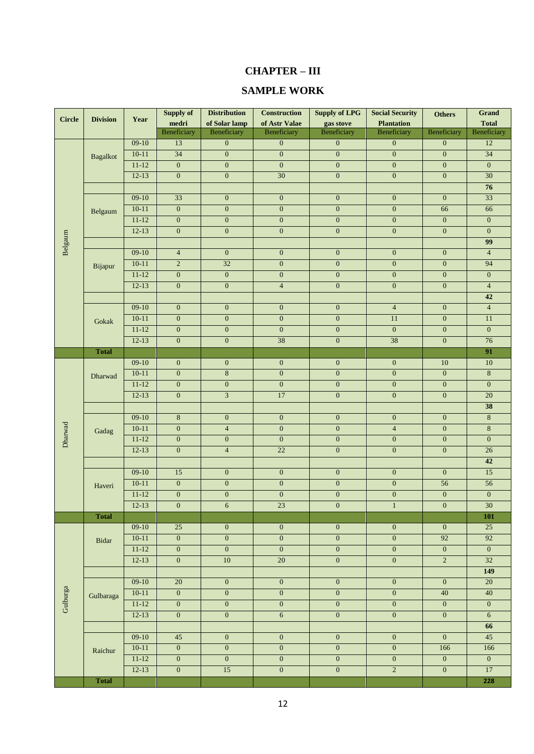## **CHAPTER – III**

## **SAMPLE WORK**

| <b>Beneficiary</b><br>Beneficiary<br>Beneficiary<br>Beneficiary<br>Beneficiary<br>Beneficiary<br>Beneficiary<br>$09-10$<br>$\boldsymbol{0}$<br>$\boldsymbol{0}$<br>12<br>13<br>$\boldsymbol{0}$<br>$\mathbf{0}$<br>$\mathbf{0}$<br>$10 - 11$<br>34<br>$\boldsymbol{0}$<br>$\boldsymbol{0}$<br>$\boldsymbol{0}$<br>$\boldsymbol{0}$<br>$\boldsymbol{0}$<br>34<br><b>Bagalkot</b><br>$11 - 12$<br>$\overline{0}$<br>$\boldsymbol{0}$<br>$\mathbf{0}$<br>$\boldsymbol{0}$<br>$\overline{0}$<br>$\boldsymbol{0}$<br>$\overline{0}$<br>$\boldsymbol{0}$<br>$\overline{30}$<br>$\mathbf{0}$<br>$\overline{0}$<br>$12-13$<br>$\boldsymbol{0}$<br>$\boldsymbol{0}$<br>$30\,$<br>76<br>33<br>33<br>$09-10$<br>$\mathbf{0}$<br>$\overline{0}$<br>$\mathbf{0}$<br>$\overline{0}$<br>$\overline{0}$<br>$10-11$<br>$\boldsymbol{0}$<br>$\boldsymbol{0}$<br>$\mathbf{0}$<br>$\boldsymbol{0}$<br>$\mathbf{0}$<br>66<br>66<br>Belgaum<br>$11 - 12$<br>$\boldsymbol{0}$<br>$\boldsymbol{0}$<br>$\mathbf{0}$<br>$\boldsymbol{0}$<br>$\boldsymbol{0}$<br>$\boldsymbol{0}$<br>$\overline{0}$<br>$12-13$<br>$\boldsymbol{0}$<br>$\overline{0}$<br>$\overline{0}$<br>$\boldsymbol{0}$<br>$\overline{0}$<br>$\overline{0}$<br>$\overline{0}$<br>Belgaum<br>99<br>$09-10$<br>$\overline{4}$<br>$\overline{0}$<br>$\overline{0}$<br>$\overline{4}$<br>$\mathbf{0}$<br>$\mathbf{0}$<br>$\mathbf{0}$<br>$10-11$<br>$\overline{2}$<br>32<br>$\overline{0}$<br>$\mathbf{0}$<br>$\overline{0}$<br>$\overline{0}$<br>94<br>Bijapur<br>$11 - 12$<br>$\overline{0}$<br>$\overline{0}$<br>$\mathbf{0}$<br>$\overline{0}$<br>$\overline{0}$<br>$\overline{0}$<br>$\boldsymbol{0}$<br>$12-13$<br>$\boldsymbol{0}$<br>$\boldsymbol{0}$<br>$\overline{4}$<br>$\boldsymbol{0}$<br>$\mathbf{0}$<br>$\boldsymbol{0}$<br>$\overline{4}$<br>42<br>$09-10$<br>$\overline{4}$<br>$\mathbf{0}$<br>$\mathbf{0}$<br>$\overline{4}$<br>$\mathbf{0}$<br>$\boldsymbol{0}$<br>$\boldsymbol{0}$<br>$\overline{0}$<br>$10 - 11$<br>$\boldsymbol{0}$<br>$\boldsymbol{0}$<br>$\boldsymbol{0}$<br>11<br>$\boldsymbol{0}$<br>11<br>Gokak<br>$11 - 12$<br>$\boldsymbol{0}$<br>$\mathbf{0}$<br>$\mathbf{0}$<br>$\mathbf{0}$<br>$\mathbf{0}$<br>$\mathbf{0}$<br>$\mathbf{0}$<br>38<br>38<br>76<br>$12-13$<br>$\boldsymbol{0}$<br>$\boldsymbol{0}$<br>$\boldsymbol{0}$<br>$\boldsymbol{0}$<br>91<br><b>Total</b><br>$09-10$<br>$\overline{0}$<br>$\boldsymbol{0}$<br>$\boldsymbol{0}$<br>$10\,$<br>$\mathbf{0}$<br>$\mathbf{0}$<br>10<br>$\boldsymbol{0}$<br>$\bf 8$<br>$\overline{0}$<br>$\overline{0}$<br>$\overline{0}$<br>$\bf 8$<br>$10 - 11$<br>$\boldsymbol{0}$<br>Dharwad<br>$11 - 12$<br>$\boldsymbol{0}$<br>$\boldsymbol{0}$<br>$\boldsymbol{0}$<br>$\boldsymbol{0}$<br>$\overline{0}$<br>$\overline{0}$<br>$\boldsymbol{0}$<br>$\overline{3}$<br>$12-13$<br>$\overline{0}$<br>17<br>$\mathbf{0}$<br>$\overline{0}$<br>$\overline{0}$<br>20<br>38<br>$09-10$<br>$\boldsymbol{0}$<br>8<br>$8\phantom{.}$<br>$\boldsymbol{0}$<br>$\boldsymbol{0}$<br>$\boldsymbol{0}$<br>$\mathbf{0}$<br>Dharwad<br>$\overline{0}$<br>$8\,$<br>$10 - 11$<br>$\boldsymbol{0}$<br>$\overline{4}$<br>$\boldsymbol{0}$<br>$\overline{4}$<br>$\boldsymbol{0}$<br>Gadag<br>$11 - 12$<br>$\boldsymbol{0}$<br>$\boldsymbol{0}$<br>$\mathbf{0}$<br>$\boldsymbol{0}$<br>$\boldsymbol{0}$<br>$\boldsymbol{0}$<br>$\overline{0}$<br>$\mathbf{0}$<br>$12-13$<br>$\boldsymbol{0}$<br>$\overline{4}$<br>22<br>$\boldsymbol{0}$<br>$\boldsymbol{0}$<br>$26\,$<br>42<br>$09-10$<br>15<br>$\boldsymbol{0}$<br>$\boldsymbol{0}$<br>$\boldsymbol{0}$<br>$\boldsymbol{0}$<br>$\boldsymbol{0}$<br>15<br>$\boldsymbol{0}$<br>$\boldsymbol{0}$<br>$10 - 11$<br>$\mathbf{0}$<br>$\boldsymbol{0}$<br>$\boldsymbol{0}$<br>56<br>56<br>Haveri<br>$\boldsymbol{0}$<br>$\boldsymbol{0}$<br>$\boldsymbol{0}$<br>$\overline{0}$<br>$\overline{0}$<br>$\overline{0}$<br>$\overline{0}$<br>$11 - 12$<br>23<br>$\overline{30}$<br>$12-13$<br>$\boldsymbol{0}$<br>$\boldsymbol{0}$<br>$\sqrt{6}$<br>$\boldsymbol{0}$<br>$\mathbf{1}$<br><b>Total</b><br>101<br>$09-10$<br>25<br>$25\,$<br>$\boldsymbol{0}$<br>$\overline{0}$<br>$\boldsymbol{0}$<br>$\mathbf{0}$<br>$\boldsymbol{0}$<br>$\boldsymbol{0}$<br>92<br>92<br>$10-11$<br>$\boldsymbol{0}$<br>$\boldsymbol{0}$<br>$\boldsymbol{0}$<br>$\boldsymbol{0}$<br>Bidar<br>$\boldsymbol{0}$<br>$\overline{0}$<br>$11 - 12$<br>$\boldsymbol{0}$<br>$\boldsymbol{0}$<br>$\boldsymbol{0}$<br>$\boldsymbol{0}$<br>$\boldsymbol{0}$<br>$\overline{0}$<br>$12-13$<br>$\overline{0}$<br>$10\,$<br>$\overline{20}$<br>$\boldsymbol{0}$<br>$\sqrt{2}$<br>32<br>149<br>$09-10$<br>$20\,$<br>$\boldsymbol{0}$<br>$\boldsymbol{0}$<br>$\boldsymbol{0}$<br>$\boldsymbol{0}$<br>$\boldsymbol{0}$<br>$20\,$<br>Gulburga<br>$\overline{0}$<br>$\boldsymbol{0}$<br>40<br>40<br>$10-11$<br>$\boldsymbol{0}$<br>$\mathbf{0}$<br>$\mathbf{0}$<br>Gulbaraga<br>$11 - 12$<br>$\boldsymbol{0}$<br>$\boldsymbol{0}$<br>$\boldsymbol{0}$<br>$\overline{0}$<br>$\boldsymbol{0}$<br>$\boldsymbol{0}$<br>$\boldsymbol{0}$<br>$\boldsymbol{0}$<br>$\boldsymbol{0}$<br>$\overline{6}$<br>$\overline{0}$<br>$\boldsymbol{0}$<br>$\boldsymbol{0}$<br>$\sqrt{6}$<br>$12-13$<br>66<br>$09-10$<br>$\overline{0}$<br>$\boldsymbol{0}$<br>$\overline{0}$<br>45<br>$45\,$<br>$\boldsymbol{0}$<br>$\boldsymbol{0}$<br>$\overline{0}$<br>$\boldsymbol{0}$<br>$\overline{0}$<br>$\boldsymbol{0}$<br>$10-11$<br>$\overline{0}$<br>166<br>166<br>Raichur<br>$\boldsymbol{0}$<br>$11 - 12$<br>$\boldsymbol{0}$<br>$\boldsymbol{0}$<br>$\overline{0}$<br>$\boldsymbol{0}$<br>$\overline{0}$<br>$\boldsymbol{0}$<br>$12-13$<br>$\boldsymbol{0}$<br>$15$<br>$\boldsymbol{0}$<br>$\boldsymbol{0}$<br>$\sqrt{2}$<br>$\boldsymbol{0}$<br>17<br><b>Total</b><br>228 | <b>Circle</b> | <b>Division</b> | Year | <b>Supply of</b><br>medri | <b>Distribution</b><br>of Solar lamp | <b>Construction</b><br>of Astr Valae | <b>Supply of LPG</b><br>gas stove | <b>Social Security</b><br><b>Plantation</b> | <b>Others</b> | <b>Grand</b><br><b>Total</b> |
|---------------------------------------------------------------------------------------------------------------------------------------------------------------------------------------------------------------------------------------------------------------------------------------------------------------------------------------------------------------------------------------------------------------------------------------------------------------------------------------------------------------------------------------------------------------------------------------------------------------------------------------------------------------------------------------------------------------------------------------------------------------------------------------------------------------------------------------------------------------------------------------------------------------------------------------------------------------------------------------------------------------------------------------------------------------------------------------------------------------------------------------------------------------------------------------------------------------------------------------------------------------------------------------------------------------------------------------------------------------------------------------------------------------------------------------------------------------------------------------------------------------------------------------------------------------------------------------------------------------------------------------------------------------------------------------------------------------------------------------------------------------------------------------------------------------------------------------------------------------------------------------------------------------------------------------------------------------------------------------------------------------------------------------------------------------------------------------------------------------------------------------------------------------------------------------------------------------------------------------------------------------------------------------------------------------------------------------------------------------------------------------------------------------------------------------------------------------------------------------------------------------------------------------------------------------------------------------------------------------------------------------------------------------------------------------------------------------------------------------------------------------------------------------------------------------------------------------------------------------------------------------------------------------------------------------------------------------------------------------------------------------------------------------------------------------------------------------------------------------------------------------------------------------------------------------------------------------------------------------------------------------------------------------------------------------------------------------------------------------------------------------------------------------------------------------------------------------------------------------------------------------------------------------------------------------------------------------------------------------------------------------------------------------------------------------------------------------------------------------------------------------------------------------------------------------------------------------------------------------------------------------------------------------------------------------------------------------------------------------------------------------------------------------------------------------------------------------------------------------------------------------------------------------------------------------------------------------------------------------------------------------------------------------------------------------------------------------------------------------------------------------------------------------------------------------------------------------------------------------------------------------------------------------------------------------------------------------------------------------------------------------------------------------------------------------------------------------------------------------------------------------------------------------------------------------------------------------------------------------------------------------------------------------------------------------------------------------------------------------------------------------------------------------------------------------------------------------------------------------------------------------------------------------------------------------------------------------------------------------------------------------------------------------------------------------------------------------------------------------------------------------------------------------------------------------------------------------------------------------------------------------------------------------------------------------------------------------------------------------------------------------------------------------------------------------------------------------------------------------------------------|---------------|-----------------|------|---------------------------|--------------------------------------|--------------------------------------|-----------------------------------|---------------------------------------------|---------------|------------------------------|
|                                                                                                                                                                                                                                                                                                                                                                                                                                                                                                                                                                                                                                                                                                                                                                                                                                                                                                                                                                                                                                                                                                                                                                                                                                                                                                                                                                                                                                                                                                                                                                                                                                                                                                                                                                                                                                                                                                                                                                                                                                                                                                                                                                                                                                                                                                                                                                                                                                                                                                                                                                                                                                                                                                                                                                                                                                                                                                                                                                                                                                                                                                                                                                                                                                                                                                                                                                                                                                                                                                                                                                                                                                                                                                                                                                                                                                                                                                                                                                                                                                                                                                                                                                                                                                                                                                                                                                                                                                                                                                                                                                                                                                                                                                                                                                                                                                                                                                                                                                                                                                                                                                                                                                                                                                                                                                                                                                                                                                                                                                                                                                                                                                                                                                                                                         |               |                 |      |                           |                                      |                                      |                                   |                                             |               |                              |
|                                                                                                                                                                                                                                                                                                                                                                                                                                                                                                                                                                                                                                                                                                                                                                                                                                                                                                                                                                                                                                                                                                                                                                                                                                                                                                                                                                                                                                                                                                                                                                                                                                                                                                                                                                                                                                                                                                                                                                                                                                                                                                                                                                                                                                                                                                                                                                                                                                                                                                                                                                                                                                                                                                                                                                                                                                                                                                                                                                                                                                                                                                                                                                                                                                                                                                                                                                                                                                                                                                                                                                                                                                                                                                                                                                                                                                                                                                                                                                                                                                                                                                                                                                                                                                                                                                                                                                                                                                                                                                                                                                                                                                                                                                                                                                                                                                                                                                                                                                                                                                                                                                                                                                                                                                                                                                                                                                                                                                                                                                                                                                                                                                                                                                                                                         |               |                 |      |                           |                                      |                                      |                                   |                                             |               |                              |
|                                                                                                                                                                                                                                                                                                                                                                                                                                                                                                                                                                                                                                                                                                                                                                                                                                                                                                                                                                                                                                                                                                                                                                                                                                                                                                                                                                                                                                                                                                                                                                                                                                                                                                                                                                                                                                                                                                                                                                                                                                                                                                                                                                                                                                                                                                                                                                                                                                                                                                                                                                                                                                                                                                                                                                                                                                                                                                                                                                                                                                                                                                                                                                                                                                                                                                                                                                                                                                                                                                                                                                                                                                                                                                                                                                                                                                                                                                                                                                                                                                                                                                                                                                                                                                                                                                                                                                                                                                                                                                                                                                                                                                                                                                                                                                                                                                                                                                                                                                                                                                                                                                                                                                                                                                                                                                                                                                                                                                                                                                                                                                                                                                                                                                                                                         |               |                 |      |                           |                                      |                                      |                                   |                                             |               |                              |
|                                                                                                                                                                                                                                                                                                                                                                                                                                                                                                                                                                                                                                                                                                                                                                                                                                                                                                                                                                                                                                                                                                                                                                                                                                                                                                                                                                                                                                                                                                                                                                                                                                                                                                                                                                                                                                                                                                                                                                                                                                                                                                                                                                                                                                                                                                                                                                                                                                                                                                                                                                                                                                                                                                                                                                                                                                                                                                                                                                                                                                                                                                                                                                                                                                                                                                                                                                                                                                                                                                                                                                                                                                                                                                                                                                                                                                                                                                                                                                                                                                                                                                                                                                                                                                                                                                                                                                                                                                                                                                                                                                                                                                                                                                                                                                                                                                                                                                                                                                                                                                                                                                                                                                                                                                                                                                                                                                                                                                                                                                                                                                                                                                                                                                                                                         |               |                 |      |                           |                                      |                                      |                                   |                                             |               |                              |
|                                                                                                                                                                                                                                                                                                                                                                                                                                                                                                                                                                                                                                                                                                                                                                                                                                                                                                                                                                                                                                                                                                                                                                                                                                                                                                                                                                                                                                                                                                                                                                                                                                                                                                                                                                                                                                                                                                                                                                                                                                                                                                                                                                                                                                                                                                                                                                                                                                                                                                                                                                                                                                                                                                                                                                                                                                                                                                                                                                                                                                                                                                                                                                                                                                                                                                                                                                                                                                                                                                                                                                                                                                                                                                                                                                                                                                                                                                                                                                                                                                                                                                                                                                                                                                                                                                                                                                                                                                                                                                                                                                                                                                                                                                                                                                                                                                                                                                                                                                                                                                                                                                                                                                                                                                                                                                                                                                                                                                                                                                                                                                                                                                                                                                                                                         |               |                 |      |                           |                                      |                                      |                                   |                                             |               |                              |
|                                                                                                                                                                                                                                                                                                                                                                                                                                                                                                                                                                                                                                                                                                                                                                                                                                                                                                                                                                                                                                                                                                                                                                                                                                                                                                                                                                                                                                                                                                                                                                                                                                                                                                                                                                                                                                                                                                                                                                                                                                                                                                                                                                                                                                                                                                                                                                                                                                                                                                                                                                                                                                                                                                                                                                                                                                                                                                                                                                                                                                                                                                                                                                                                                                                                                                                                                                                                                                                                                                                                                                                                                                                                                                                                                                                                                                                                                                                                                                                                                                                                                                                                                                                                                                                                                                                                                                                                                                                                                                                                                                                                                                                                                                                                                                                                                                                                                                                                                                                                                                                                                                                                                                                                                                                                                                                                                                                                                                                                                                                                                                                                                                                                                                                                                         |               |                 |      |                           |                                      |                                      |                                   |                                             |               |                              |
|                                                                                                                                                                                                                                                                                                                                                                                                                                                                                                                                                                                                                                                                                                                                                                                                                                                                                                                                                                                                                                                                                                                                                                                                                                                                                                                                                                                                                                                                                                                                                                                                                                                                                                                                                                                                                                                                                                                                                                                                                                                                                                                                                                                                                                                                                                                                                                                                                                                                                                                                                                                                                                                                                                                                                                                                                                                                                                                                                                                                                                                                                                                                                                                                                                                                                                                                                                                                                                                                                                                                                                                                                                                                                                                                                                                                                                                                                                                                                                                                                                                                                                                                                                                                                                                                                                                                                                                                                                                                                                                                                                                                                                                                                                                                                                                                                                                                                                                                                                                                                                                                                                                                                                                                                                                                                                                                                                                                                                                                                                                                                                                                                                                                                                                                                         |               |                 |      |                           |                                      |                                      |                                   |                                             |               |                              |
|                                                                                                                                                                                                                                                                                                                                                                                                                                                                                                                                                                                                                                                                                                                                                                                                                                                                                                                                                                                                                                                                                                                                                                                                                                                                                                                                                                                                                                                                                                                                                                                                                                                                                                                                                                                                                                                                                                                                                                                                                                                                                                                                                                                                                                                                                                                                                                                                                                                                                                                                                                                                                                                                                                                                                                                                                                                                                                                                                                                                                                                                                                                                                                                                                                                                                                                                                                                                                                                                                                                                                                                                                                                                                                                                                                                                                                                                                                                                                                                                                                                                                                                                                                                                                                                                                                                                                                                                                                                                                                                                                                                                                                                                                                                                                                                                                                                                                                                                                                                                                                                                                                                                                                                                                                                                                                                                                                                                                                                                                                                                                                                                                                                                                                                                                         |               |                 |      |                           |                                      |                                      |                                   |                                             |               |                              |
|                                                                                                                                                                                                                                                                                                                                                                                                                                                                                                                                                                                                                                                                                                                                                                                                                                                                                                                                                                                                                                                                                                                                                                                                                                                                                                                                                                                                                                                                                                                                                                                                                                                                                                                                                                                                                                                                                                                                                                                                                                                                                                                                                                                                                                                                                                                                                                                                                                                                                                                                                                                                                                                                                                                                                                                                                                                                                                                                                                                                                                                                                                                                                                                                                                                                                                                                                                                                                                                                                                                                                                                                                                                                                                                                                                                                                                                                                                                                                                                                                                                                                                                                                                                                                                                                                                                                                                                                                                                                                                                                                                                                                                                                                                                                                                                                                                                                                                                                                                                                                                                                                                                                                                                                                                                                                                                                                                                                                                                                                                                                                                                                                                                                                                                                                         |               |                 |      |                           |                                      |                                      |                                   |                                             |               |                              |
|                                                                                                                                                                                                                                                                                                                                                                                                                                                                                                                                                                                                                                                                                                                                                                                                                                                                                                                                                                                                                                                                                                                                                                                                                                                                                                                                                                                                                                                                                                                                                                                                                                                                                                                                                                                                                                                                                                                                                                                                                                                                                                                                                                                                                                                                                                                                                                                                                                                                                                                                                                                                                                                                                                                                                                                                                                                                                                                                                                                                                                                                                                                                                                                                                                                                                                                                                                                                                                                                                                                                                                                                                                                                                                                                                                                                                                                                                                                                                                                                                                                                                                                                                                                                                                                                                                                                                                                                                                                                                                                                                                                                                                                                                                                                                                                                                                                                                                                                                                                                                                                                                                                                                                                                                                                                                                                                                                                                                                                                                                                                                                                                                                                                                                                                                         |               |                 |      |                           |                                      |                                      |                                   |                                             |               |                              |
|                                                                                                                                                                                                                                                                                                                                                                                                                                                                                                                                                                                                                                                                                                                                                                                                                                                                                                                                                                                                                                                                                                                                                                                                                                                                                                                                                                                                                                                                                                                                                                                                                                                                                                                                                                                                                                                                                                                                                                                                                                                                                                                                                                                                                                                                                                                                                                                                                                                                                                                                                                                                                                                                                                                                                                                                                                                                                                                                                                                                                                                                                                                                                                                                                                                                                                                                                                                                                                                                                                                                                                                                                                                                                                                                                                                                                                                                                                                                                                                                                                                                                                                                                                                                                                                                                                                                                                                                                                                                                                                                                                                                                                                                                                                                                                                                                                                                                                                                                                                                                                                                                                                                                                                                                                                                                                                                                                                                                                                                                                                                                                                                                                                                                                                                                         |               |                 |      |                           |                                      |                                      |                                   |                                             |               |                              |
|                                                                                                                                                                                                                                                                                                                                                                                                                                                                                                                                                                                                                                                                                                                                                                                                                                                                                                                                                                                                                                                                                                                                                                                                                                                                                                                                                                                                                                                                                                                                                                                                                                                                                                                                                                                                                                                                                                                                                                                                                                                                                                                                                                                                                                                                                                                                                                                                                                                                                                                                                                                                                                                                                                                                                                                                                                                                                                                                                                                                                                                                                                                                                                                                                                                                                                                                                                                                                                                                                                                                                                                                                                                                                                                                                                                                                                                                                                                                                                                                                                                                                                                                                                                                                                                                                                                                                                                                                                                                                                                                                                                                                                                                                                                                                                                                                                                                                                                                                                                                                                                                                                                                                                                                                                                                                                                                                                                                                                                                                                                                                                                                                                                                                                                                                         |               |                 |      |                           |                                      |                                      |                                   |                                             |               |                              |
|                                                                                                                                                                                                                                                                                                                                                                                                                                                                                                                                                                                                                                                                                                                                                                                                                                                                                                                                                                                                                                                                                                                                                                                                                                                                                                                                                                                                                                                                                                                                                                                                                                                                                                                                                                                                                                                                                                                                                                                                                                                                                                                                                                                                                                                                                                                                                                                                                                                                                                                                                                                                                                                                                                                                                                                                                                                                                                                                                                                                                                                                                                                                                                                                                                                                                                                                                                                                                                                                                                                                                                                                                                                                                                                                                                                                                                                                                                                                                                                                                                                                                                                                                                                                                                                                                                                                                                                                                                                                                                                                                                                                                                                                                                                                                                                                                                                                                                                                                                                                                                                                                                                                                                                                                                                                                                                                                                                                                                                                                                                                                                                                                                                                                                                                                         |               |                 |      |                           |                                      |                                      |                                   |                                             |               |                              |
|                                                                                                                                                                                                                                                                                                                                                                                                                                                                                                                                                                                                                                                                                                                                                                                                                                                                                                                                                                                                                                                                                                                                                                                                                                                                                                                                                                                                                                                                                                                                                                                                                                                                                                                                                                                                                                                                                                                                                                                                                                                                                                                                                                                                                                                                                                                                                                                                                                                                                                                                                                                                                                                                                                                                                                                                                                                                                                                                                                                                                                                                                                                                                                                                                                                                                                                                                                                                                                                                                                                                                                                                                                                                                                                                                                                                                                                                                                                                                                                                                                                                                                                                                                                                                                                                                                                                                                                                                                                                                                                                                                                                                                                                                                                                                                                                                                                                                                                                                                                                                                                                                                                                                                                                                                                                                                                                                                                                                                                                                                                                                                                                                                                                                                                                                         |               |                 |      |                           |                                      |                                      |                                   |                                             |               |                              |
|                                                                                                                                                                                                                                                                                                                                                                                                                                                                                                                                                                                                                                                                                                                                                                                                                                                                                                                                                                                                                                                                                                                                                                                                                                                                                                                                                                                                                                                                                                                                                                                                                                                                                                                                                                                                                                                                                                                                                                                                                                                                                                                                                                                                                                                                                                                                                                                                                                                                                                                                                                                                                                                                                                                                                                                                                                                                                                                                                                                                                                                                                                                                                                                                                                                                                                                                                                                                                                                                                                                                                                                                                                                                                                                                                                                                                                                                                                                                                                                                                                                                                                                                                                                                                                                                                                                                                                                                                                                                                                                                                                                                                                                                                                                                                                                                                                                                                                                                                                                                                                                                                                                                                                                                                                                                                                                                                                                                                                                                                                                                                                                                                                                                                                                                                         |               |                 |      |                           |                                      |                                      |                                   |                                             |               |                              |
|                                                                                                                                                                                                                                                                                                                                                                                                                                                                                                                                                                                                                                                                                                                                                                                                                                                                                                                                                                                                                                                                                                                                                                                                                                                                                                                                                                                                                                                                                                                                                                                                                                                                                                                                                                                                                                                                                                                                                                                                                                                                                                                                                                                                                                                                                                                                                                                                                                                                                                                                                                                                                                                                                                                                                                                                                                                                                                                                                                                                                                                                                                                                                                                                                                                                                                                                                                                                                                                                                                                                                                                                                                                                                                                                                                                                                                                                                                                                                                                                                                                                                                                                                                                                                                                                                                                                                                                                                                                                                                                                                                                                                                                                                                                                                                                                                                                                                                                                                                                                                                                                                                                                                                                                                                                                                                                                                                                                                                                                                                                                                                                                                                                                                                                                                         |               |                 |      |                           |                                      |                                      |                                   |                                             |               |                              |
|                                                                                                                                                                                                                                                                                                                                                                                                                                                                                                                                                                                                                                                                                                                                                                                                                                                                                                                                                                                                                                                                                                                                                                                                                                                                                                                                                                                                                                                                                                                                                                                                                                                                                                                                                                                                                                                                                                                                                                                                                                                                                                                                                                                                                                                                                                                                                                                                                                                                                                                                                                                                                                                                                                                                                                                                                                                                                                                                                                                                                                                                                                                                                                                                                                                                                                                                                                                                                                                                                                                                                                                                                                                                                                                                                                                                                                                                                                                                                                                                                                                                                                                                                                                                                                                                                                                                                                                                                                                                                                                                                                                                                                                                                                                                                                                                                                                                                                                                                                                                                                                                                                                                                                                                                                                                                                                                                                                                                                                                                                                                                                                                                                                                                                                                                         |               |                 |      |                           |                                      |                                      |                                   |                                             |               |                              |
|                                                                                                                                                                                                                                                                                                                                                                                                                                                                                                                                                                                                                                                                                                                                                                                                                                                                                                                                                                                                                                                                                                                                                                                                                                                                                                                                                                                                                                                                                                                                                                                                                                                                                                                                                                                                                                                                                                                                                                                                                                                                                                                                                                                                                                                                                                                                                                                                                                                                                                                                                                                                                                                                                                                                                                                                                                                                                                                                                                                                                                                                                                                                                                                                                                                                                                                                                                                                                                                                                                                                                                                                                                                                                                                                                                                                                                                                                                                                                                                                                                                                                                                                                                                                                                                                                                                                                                                                                                                                                                                                                                                                                                                                                                                                                                                                                                                                                                                                                                                                                                                                                                                                                                                                                                                                                                                                                                                                                                                                                                                                                                                                                                                                                                                                                         |               |                 |      |                           |                                      |                                      |                                   |                                             |               |                              |
|                                                                                                                                                                                                                                                                                                                                                                                                                                                                                                                                                                                                                                                                                                                                                                                                                                                                                                                                                                                                                                                                                                                                                                                                                                                                                                                                                                                                                                                                                                                                                                                                                                                                                                                                                                                                                                                                                                                                                                                                                                                                                                                                                                                                                                                                                                                                                                                                                                                                                                                                                                                                                                                                                                                                                                                                                                                                                                                                                                                                                                                                                                                                                                                                                                                                                                                                                                                                                                                                                                                                                                                                                                                                                                                                                                                                                                                                                                                                                                                                                                                                                                                                                                                                                                                                                                                                                                                                                                                                                                                                                                                                                                                                                                                                                                                                                                                                                                                                                                                                                                                                                                                                                                                                                                                                                                                                                                                                                                                                                                                                                                                                                                                                                                                                                         |               |                 |      |                           |                                      |                                      |                                   |                                             |               |                              |
|                                                                                                                                                                                                                                                                                                                                                                                                                                                                                                                                                                                                                                                                                                                                                                                                                                                                                                                                                                                                                                                                                                                                                                                                                                                                                                                                                                                                                                                                                                                                                                                                                                                                                                                                                                                                                                                                                                                                                                                                                                                                                                                                                                                                                                                                                                                                                                                                                                                                                                                                                                                                                                                                                                                                                                                                                                                                                                                                                                                                                                                                                                                                                                                                                                                                                                                                                                                                                                                                                                                                                                                                                                                                                                                                                                                                                                                                                                                                                                                                                                                                                                                                                                                                                                                                                                                                                                                                                                                                                                                                                                                                                                                                                                                                                                                                                                                                                                                                                                                                                                                                                                                                                                                                                                                                                                                                                                                                                                                                                                                                                                                                                                                                                                                                                         |               |                 |      |                           |                                      |                                      |                                   |                                             |               |                              |
|                                                                                                                                                                                                                                                                                                                                                                                                                                                                                                                                                                                                                                                                                                                                                                                                                                                                                                                                                                                                                                                                                                                                                                                                                                                                                                                                                                                                                                                                                                                                                                                                                                                                                                                                                                                                                                                                                                                                                                                                                                                                                                                                                                                                                                                                                                                                                                                                                                                                                                                                                                                                                                                                                                                                                                                                                                                                                                                                                                                                                                                                                                                                                                                                                                                                                                                                                                                                                                                                                                                                                                                                                                                                                                                                                                                                                                                                                                                                                                                                                                                                                                                                                                                                                                                                                                                                                                                                                                                                                                                                                                                                                                                                                                                                                                                                                                                                                                                                                                                                                                                                                                                                                                                                                                                                                                                                                                                                                                                                                                                                                                                                                                                                                                                                                         |               |                 |      |                           |                                      |                                      |                                   |                                             |               |                              |
|                                                                                                                                                                                                                                                                                                                                                                                                                                                                                                                                                                                                                                                                                                                                                                                                                                                                                                                                                                                                                                                                                                                                                                                                                                                                                                                                                                                                                                                                                                                                                                                                                                                                                                                                                                                                                                                                                                                                                                                                                                                                                                                                                                                                                                                                                                                                                                                                                                                                                                                                                                                                                                                                                                                                                                                                                                                                                                                                                                                                                                                                                                                                                                                                                                                                                                                                                                                                                                                                                                                                                                                                                                                                                                                                                                                                                                                                                                                                                                                                                                                                                                                                                                                                                                                                                                                                                                                                                                                                                                                                                                                                                                                                                                                                                                                                                                                                                                                                                                                                                                                                                                                                                                                                                                                                                                                                                                                                                                                                                                                                                                                                                                                                                                                                                         |               |                 |      |                           |                                      |                                      |                                   |                                             |               |                              |
|                                                                                                                                                                                                                                                                                                                                                                                                                                                                                                                                                                                                                                                                                                                                                                                                                                                                                                                                                                                                                                                                                                                                                                                                                                                                                                                                                                                                                                                                                                                                                                                                                                                                                                                                                                                                                                                                                                                                                                                                                                                                                                                                                                                                                                                                                                                                                                                                                                                                                                                                                                                                                                                                                                                                                                                                                                                                                                                                                                                                                                                                                                                                                                                                                                                                                                                                                                                                                                                                                                                                                                                                                                                                                                                                                                                                                                                                                                                                                                                                                                                                                                                                                                                                                                                                                                                                                                                                                                                                                                                                                                                                                                                                                                                                                                                                                                                                                                                                                                                                                                                                                                                                                                                                                                                                                                                                                                                                                                                                                                                                                                                                                                                                                                                                                         |               |                 |      |                           |                                      |                                      |                                   |                                             |               |                              |
|                                                                                                                                                                                                                                                                                                                                                                                                                                                                                                                                                                                                                                                                                                                                                                                                                                                                                                                                                                                                                                                                                                                                                                                                                                                                                                                                                                                                                                                                                                                                                                                                                                                                                                                                                                                                                                                                                                                                                                                                                                                                                                                                                                                                                                                                                                                                                                                                                                                                                                                                                                                                                                                                                                                                                                                                                                                                                                                                                                                                                                                                                                                                                                                                                                                                                                                                                                                                                                                                                                                                                                                                                                                                                                                                                                                                                                                                                                                                                                                                                                                                                                                                                                                                                                                                                                                                                                                                                                                                                                                                                                                                                                                                                                                                                                                                                                                                                                                                                                                                                                                                                                                                                                                                                                                                                                                                                                                                                                                                                                                                                                                                                                                                                                                                                         |               |                 |      |                           |                                      |                                      |                                   |                                             |               |                              |
|                                                                                                                                                                                                                                                                                                                                                                                                                                                                                                                                                                                                                                                                                                                                                                                                                                                                                                                                                                                                                                                                                                                                                                                                                                                                                                                                                                                                                                                                                                                                                                                                                                                                                                                                                                                                                                                                                                                                                                                                                                                                                                                                                                                                                                                                                                                                                                                                                                                                                                                                                                                                                                                                                                                                                                                                                                                                                                                                                                                                                                                                                                                                                                                                                                                                                                                                                                                                                                                                                                                                                                                                                                                                                                                                                                                                                                                                                                                                                                                                                                                                                                                                                                                                                                                                                                                                                                                                                                                                                                                                                                                                                                                                                                                                                                                                                                                                                                                                                                                                                                                                                                                                                                                                                                                                                                                                                                                                                                                                                                                                                                                                                                                                                                                                                         |               |                 |      |                           |                                      |                                      |                                   |                                             |               |                              |
|                                                                                                                                                                                                                                                                                                                                                                                                                                                                                                                                                                                                                                                                                                                                                                                                                                                                                                                                                                                                                                                                                                                                                                                                                                                                                                                                                                                                                                                                                                                                                                                                                                                                                                                                                                                                                                                                                                                                                                                                                                                                                                                                                                                                                                                                                                                                                                                                                                                                                                                                                                                                                                                                                                                                                                                                                                                                                                                                                                                                                                                                                                                                                                                                                                                                                                                                                                                                                                                                                                                                                                                                                                                                                                                                                                                                                                                                                                                                                                                                                                                                                                                                                                                                                                                                                                                                                                                                                                                                                                                                                                                                                                                                                                                                                                                                                                                                                                                                                                                                                                                                                                                                                                                                                                                                                                                                                                                                                                                                                                                                                                                                                                                                                                                                                         |               |                 |      |                           |                                      |                                      |                                   |                                             |               |                              |
|                                                                                                                                                                                                                                                                                                                                                                                                                                                                                                                                                                                                                                                                                                                                                                                                                                                                                                                                                                                                                                                                                                                                                                                                                                                                                                                                                                                                                                                                                                                                                                                                                                                                                                                                                                                                                                                                                                                                                                                                                                                                                                                                                                                                                                                                                                                                                                                                                                                                                                                                                                                                                                                                                                                                                                                                                                                                                                                                                                                                                                                                                                                                                                                                                                                                                                                                                                                                                                                                                                                                                                                                                                                                                                                                                                                                                                                                                                                                                                                                                                                                                                                                                                                                                                                                                                                                                                                                                                                                                                                                                                                                                                                                                                                                                                                                                                                                                                                                                                                                                                                                                                                                                                                                                                                                                                                                                                                                                                                                                                                                                                                                                                                                                                                                                         |               |                 |      |                           |                                      |                                      |                                   |                                             |               |                              |
|                                                                                                                                                                                                                                                                                                                                                                                                                                                                                                                                                                                                                                                                                                                                                                                                                                                                                                                                                                                                                                                                                                                                                                                                                                                                                                                                                                                                                                                                                                                                                                                                                                                                                                                                                                                                                                                                                                                                                                                                                                                                                                                                                                                                                                                                                                                                                                                                                                                                                                                                                                                                                                                                                                                                                                                                                                                                                                                                                                                                                                                                                                                                                                                                                                                                                                                                                                                                                                                                                                                                                                                                                                                                                                                                                                                                                                                                                                                                                                                                                                                                                                                                                                                                                                                                                                                                                                                                                                                                                                                                                                                                                                                                                                                                                                                                                                                                                                                                                                                                                                                                                                                                                                                                                                                                                                                                                                                                                                                                                                                                                                                                                                                                                                                                                         |               |                 |      |                           |                                      |                                      |                                   |                                             |               |                              |
|                                                                                                                                                                                                                                                                                                                                                                                                                                                                                                                                                                                                                                                                                                                                                                                                                                                                                                                                                                                                                                                                                                                                                                                                                                                                                                                                                                                                                                                                                                                                                                                                                                                                                                                                                                                                                                                                                                                                                                                                                                                                                                                                                                                                                                                                                                                                                                                                                                                                                                                                                                                                                                                                                                                                                                                                                                                                                                                                                                                                                                                                                                                                                                                                                                                                                                                                                                                                                                                                                                                                                                                                                                                                                                                                                                                                                                                                                                                                                                                                                                                                                                                                                                                                                                                                                                                                                                                                                                                                                                                                                                                                                                                                                                                                                                                                                                                                                                                                                                                                                                                                                                                                                                                                                                                                                                                                                                                                                                                                                                                                                                                                                                                                                                                                                         |               |                 |      |                           |                                      |                                      |                                   |                                             |               |                              |
|                                                                                                                                                                                                                                                                                                                                                                                                                                                                                                                                                                                                                                                                                                                                                                                                                                                                                                                                                                                                                                                                                                                                                                                                                                                                                                                                                                                                                                                                                                                                                                                                                                                                                                                                                                                                                                                                                                                                                                                                                                                                                                                                                                                                                                                                                                                                                                                                                                                                                                                                                                                                                                                                                                                                                                                                                                                                                                                                                                                                                                                                                                                                                                                                                                                                                                                                                                                                                                                                                                                                                                                                                                                                                                                                                                                                                                                                                                                                                                                                                                                                                                                                                                                                                                                                                                                                                                                                                                                                                                                                                                                                                                                                                                                                                                                                                                                                                                                                                                                                                                                                                                                                                                                                                                                                                                                                                                                                                                                                                                                                                                                                                                                                                                                                                         |               |                 |      |                           |                                      |                                      |                                   |                                             |               |                              |
|                                                                                                                                                                                                                                                                                                                                                                                                                                                                                                                                                                                                                                                                                                                                                                                                                                                                                                                                                                                                                                                                                                                                                                                                                                                                                                                                                                                                                                                                                                                                                                                                                                                                                                                                                                                                                                                                                                                                                                                                                                                                                                                                                                                                                                                                                                                                                                                                                                                                                                                                                                                                                                                                                                                                                                                                                                                                                                                                                                                                                                                                                                                                                                                                                                                                                                                                                                                                                                                                                                                                                                                                                                                                                                                                                                                                                                                                                                                                                                                                                                                                                                                                                                                                                                                                                                                                                                                                                                                                                                                                                                                                                                                                                                                                                                                                                                                                                                                                                                                                                                                                                                                                                                                                                                                                                                                                                                                                                                                                                                                                                                                                                                                                                                                                                         |               |                 |      |                           |                                      |                                      |                                   |                                             |               |                              |
|                                                                                                                                                                                                                                                                                                                                                                                                                                                                                                                                                                                                                                                                                                                                                                                                                                                                                                                                                                                                                                                                                                                                                                                                                                                                                                                                                                                                                                                                                                                                                                                                                                                                                                                                                                                                                                                                                                                                                                                                                                                                                                                                                                                                                                                                                                                                                                                                                                                                                                                                                                                                                                                                                                                                                                                                                                                                                                                                                                                                                                                                                                                                                                                                                                                                                                                                                                                                                                                                                                                                                                                                                                                                                                                                                                                                                                                                                                                                                                                                                                                                                                                                                                                                                                                                                                                                                                                                                                                                                                                                                                                                                                                                                                                                                                                                                                                                                                                                                                                                                                                                                                                                                                                                                                                                                                                                                                                                                                                                                                                                                                                                                                                                                                                                                         |               |                 |      |                           |                                      |                                      |                                   |                                             |               |                              |
|                                                                                                                                                                                                                                                                                                                                                                                                                                                                                                                                                                                                                                                                                                                                                                                                                                                                                                                                                                                                                                                                                                                                                                                                                                                                                                                                                                                                                                                                                                                                                                                                                                                                                                                                                                                                                                                                                                                                                                                                                                                                                                                                                                                                                                                                                                                                                                                                                                                                                                                                                                                                                                                                                                                                                                                                                                                                                                                                                                                                                                                                                                                                                                                                                                                                                                                                                                                                                                                                                                                                                                                                                                                                                                                                                                                                                                                                                                                                                                                                                                                                                                                                                                                                                                                                                                                                                                                                                                                                                                                                                                                                                                                                                                                                                                                                                                                                                                                                                                                                                                                                                                                                                                                                                                                                                                                                                                                                                                                                                                                                                                                                                                                                                                                                                         |               |                 |      |                           |                                      |                                      |                                   |                                             |               |                              |
|                                                                                                                                                                                                                                                                                                                                                                                                                                                                                                                                                                                                                                                                                                                                                                                                                                                                                                                                                                                                                                                                                                                                                                                                                                                                                                                                                                                                                                                                                                                                                                                                                                                                                                                                                                                                                                                                                                                                                                                                                                                                                                                                                                                                                                                                                                                                                                                                                                                                                                                                                                                                                                                                                                                                                                                                                                                                                                                                                                                                                                                                                                                                                                                                                                                                                                                                                                                                                                                                                                                                                                                                                                                                                                                                                                                                                                                                                                                                                                                                                                                                                                                                                                                                                                                                                                                                                                                                                                                                                                                                                                                                                                                                                                                                                                                                                                                                                                                                                                                                                                                                                                                                                                                                                                                                                                                                                                                                                                                                                                                                                                                                                                                                                                                                                         |               |                 |      |                           |                                      |                                      |                                   |                                             |               |                              |
|                                                                                                                                                                                                                                                                                                                                                                                                                                                                                                                                                                                                                                                                                                                                                                                                                                                                                                                                                                                                                                                                                                                                                                                                                                                                                                                                                                                                                                                                                                                                                                                                                                                                                                                                                                                                                                                                                                                                                                                                                                                                                                                                                                                                                                                                                                                                                                                                                                                                                                                                                                                                                                                                                                                                                                                                                                                                                                                                                                                                                                                                                                                                                                                                                                                                                                                                                                                                                                                                                                                                                                                                                                                                                                                                                                                                                                                                                                                                                                                                                                                                                                                                                                                                                                                                                                                                                                                                                                                                                                                                                                                                                                                                                                                                                                                                                                                                                                                                                                                                                                                                                                                                                                                                                                                                                                                                                                                                                                                                                                                                                                                                                                                                                                                                                         |               |                 |      |                           |                                      |                                      |                                   |                                             |               |                              |
|                                                                                                                                                                                                                                                                                                                                                                                                                                                                                                                                                                                                                                                                                                                                                                                                                                                                                                                                                                                                                                                                                                                                                                                                                                                                                                                                                                                                                                                                                                                                                                                                                                                                                                                                                                                                                                                                                                                                                                                                                                                                                                                                                                                                                                                                                                                                                                                                                                                                                                                                                                                                                                                                                                                                                                                                                                                                                                                                                                                                                                                                                                                                                                                                                                                                                                                                                                                                                                                                                                                                                                                                                                                                                                                                                                                                                                                                                                                                                                                                                                                                                                                                                                                                                                                                                                                                                                                                                                                                                                                                                                                                                                                                                                                                                                                                                                                                                                                                                                                                                                                                                                                                                                                                                                                                                                                                                                                                                                                                                                                                                                                                                                                                                                                                                         |               |                 |      |                           |                                      |                                      |                                   |                                             |               |                              |
|                                                                                                                                                                                                                                                                                                                                                                                                                                                                                                                                                                                                                                                                                                                                                                                                                                                                                                                                                                                                                                                                                                                                                                                                                                                                                                                                                                                                                                                                                                                                                                                                                                                                                                                                                                                                                                                                                                                                                                                                                                                                                                                                                                                                                                                                                                                                                                                                                                                                                                                                                                                                                                                                                                                                                                                                                                                                                                                                                                                                                                                                                                                                                                                                                                                                                                                                                                                                                                                                                                                                                                                                                                                                                                                                                                                                                                                                                                                                                                                                                                                                                                                                                                                                                                                                                                                                                                                                                                                                                                                                                                                                                                                                                                                                                                                                                                                                                                                                                                                                                                                                                                                                                                                                                                                                                                                                                                                                                                                                                                                                                                                                                                                                                                                                                         |               |                 |      |                           |                                      |                                      |                                   |                                             |               |                              |
|                                                                                                                                                                                                                                                                                                                                                                                                                                                                                                                                                                                                                                                                                                                                                                                                                                                                                                                                                                                                                                                                                                                                                                                                                                                                                                                                                                                                                                                                                                                                                                                                                                                                                                                                                                                                                                                                                                                                                                                                                                                                                                                                                                                                                                                                                                                                                                                                                                                                                                                                                                                                                                                                                                                                                                                                                                                                                                                                                                                                                                                                                                                                                                                                                                                                                                                                                                                                                                                                                                                                                                                                                                                                                                                                                                                                                                                                                                                                                                                                                                                                                                                                                                                                                                                                                                                                                                                                                                                                                                                                                                                                                                                                                                                                                                                                                                                                                                                                                                                                                                                                                                                                                                                                                                                                                                                                                                                                                                                                                                                                                                                                                                                                                                                                                         |               |                 |      |                           |                                      |                                      |                                   |                                             |               |                              |
|                                                                                                                                                                                                                                                                                                                                                                                                                                                                                                                                                                                                                                                                                                                                                                                                                                                                                                                                                                                                                                                                                                                                                                                                                                                                                                                                                                                                                                                                                                                                                                                                                                                                                                                                                                                                                                                                                                                                                                                                                                                                                                                                                                                                                                                                                                                                                                                                                                                                                                                                                                                                                                                                                                                                                                                                                                                                                                                                                                                                                                                                                                                                                                                                                                                                                                                                                                                                                                                                                                                                                                                                                                                                                                                                                                                                                                                                                                                                                                                                                                                                                                                                                                                                                                                                                                                                                                                                                                                                                                                                                                                                                                                                                                                                                                                                                                                                                                                                                                                                                                                                                                                                                                                                                                                                                                                                                                                                                                                                                                                                                                                                                                                                                                                                                         |               |                 |      |                           |                                      |                                      |                                   |                                             |               |                              |
|                                                                                                                                                                                                                                                                                                                                                                                                                                                                                                                                                                                                                                                                                                                                                                                                                                                                                                                                                                                                                                                                                                                                                                                                                                                                                                                                                                                                                                                                                                                                                                                                                                                                                                                                                                                                                                                                                                                                                                                                                                                                                                                                                                                                                                                                                                                                                                                                                                                                                                                                                                                                                                                                                                                                                                                                                                                                                                                                                                                                                                                                                                                                                                                                                                                                                                                                                                                                                                                                                                                                                                                                                                                                                                                                                                                                                                                                                                                                                                                                                                                                                                                                                                                                                                                                                                                                                                                                                                                                                                                                                                                                                                                                                                                                                                                                                                                                                                                                                                                                                                                                                                                                                                                                                                                                                                                                                                                                                                                                                                                                                                                                                                                                                                                                                         |               |                 |      |                           |                                      |                                      |                                   |                                             |               |                              |
|                                                                                                                                                                                                                                                                                                                                                                                                                                                                                                                                                                                                                                                                                                                                                                                                                                                                                                                                                                                                                                                                                                                                                                                                                                                                                                                                                                                                                                                                                                                                                                                                                                                                                                                                                                                                                                                                                                                                                                                                                                                                                                                                                                                                                                                                                                                                                                                                                                                                                                                                                                                                                                                                                                                                                                                                                                                                                                                                                                                                                                                                                                                                                                                                                                                                                                                                                                                                                                                                                                                                                                                                                                                                                                                                                                                                                                                                                                                                                                                                                                                                                                                                                                                                                                                                                                                                                                                                                                                                                                                                                                                                                                                                                                                                                                                                                                                                                                                                                                                                                                                                                                                                                                                                                                                                                                                                                                                                                                                                                                                                                                                                                                                                                                                                                         |               |                 |      |                           |                                      |                                      |                                   |                                             |               |                              |
|                                                                                                                                                                                                                                                                                                                                                                                                                                                                                                                                                                                                                                                                                                                                                                                                                                                                                                                                                                                                                                                                                                                                                                                                                                                                                                                                                                                                                                                                                                                                                                                                                                                                                                                                                                                                                                                                                                                                                                                                                                                                                                                                                                                                                                                                                                                                                                                                                                                                                                                                                                                                                                                                                                                                                                                                                                                                                                                                                                                                                                                                                                                                                                                                                                                                                                                                                                                                                                                                                                                                                                                                                                                                                                                                                                                                                                                                                                                                                                                                                                                                                                                                                                                                                                                                                                                                                                                                                                                                                                                                                                                                                                                                                                                                                                                                                                                                                                                                                                                                                                                                                                                                                                                                                                                                                                                                                                                                                                                                                                                                                                                                                                                                                                                                                         |               |                 |      |                           |                                      |                                      |                                   |                                             |               |                              |
|                                                                                                                                                                                                                                                                                                                                                                                                                                                                                                                                                                                                                                                                                                                                                                                                                                                                                                                                                                                                                                                                                                                                                                                                                                                                                                                                                                                                                                                                                                                                                                                                                                                                                                                                                                                                                                                                                                                                                                                                                                                                                                                                                                                                                                                                                                                                                                                                                                                                                                                                                                                                                                                                                                                                                                                                                                                                                                                                                                                                                                                                                                                                                                                                                                                                                                                                                                                                                                                                                                                                                                                                                                                                                                                                                                                                                                                                                                                                                                                                                                                                                                                                                                                                                                                                                                                                                                                                                                                                                                                                                                                                                                                                                                                                                                                                                                                                                                                                                                                                                                                                                                                                                                                                                                                                                                                                                                                                                                                                                                                                                                                                                                                                                                                                                         |               |                 |      |                           |                                      |                                      |                                   |                                             |               |                              |
|                                                                                                                                                                                                                                                                                                                                                                                                                                                                                                                                                                                                                                                                                                                                                                                                                                                                                                                                                                                                                                                                                                                                                                                                                                                                                                                                                                                                                                                                                                                                                                                                                                                                                                                                                                                                                                                                                                                                                                                                                                                                                                                                                                                                                                                                                                                                                                                                                                                                                                                                                                                                                                                                                                                                                                                                                                                                                                                                                                                                                                                                                                                                                                                                                                                                                                                                                                                                                                                                                                                                                                                                                                                                                                                                                                                                                                                                                                                                                                                                                                                                                                                                                                                                                                                                                                                                                                                                                                                                                                                                                                                                                                                                                                                                                                                                                                                                                                                                                                                                                                                                                                                                                                                                                                                                                                                                                                                                                                                                                                                                                                                                                                                                                                                                                         |               |                 |      |                           |                                      |                                      |                                   |                                             |               |                              |
|                                                                                                                                                                                                                                                                                                                                                                                                                                                                                                                                                                                                                                                                                                                                                                                                                                                                                                                                                                                                                                                                                                                                                                                                                                                                                                                                                                                                                                                                                                                                                                                                                                                                                                                                                                                                                                                                                                                                                                                                                                                                                                                                                                                                                                                                                                                                                                                                                                                                                                                                                                                                                                                                                                                                                                                                                                                                                                                                                                                                                                                                                                                                                                                                                                                                                                                                                                                                                                                                                                                                                                                                                                                                                                                                                                                                                                                                                                                                                                                                                                                                                                                                                                                                                                                                                                                                                                                                                                                                                                                                                                                                                                                                                                                                                                                                                                                                                                                                                                                                                                                                                                                                                                                                                                                                                                                                                                                                                                                                                                                                                                                                                                                                                                                                                         |               |                 |      |                           |                                      |                                      |                                   |                                             |               |                              |
|                                                                                                                                                                                                                                                                                                                                                                                                                                                                                                                                                                                                                                                                                                                                                                                                                                                                                                                                                                                                                                                                                                                                                                                                                                                                                                                                                                                                                                                                                                                                                                                                                                                                                                                                                                                                                                                                                                                                                                                                                                                                                                                                                                                                                                                                                                                                                                                                                                                                                                                                                                                                                                                                                                                                                                                                                                                                                                                                                                                                                                                                                                                                                                                                                                                                                                                                                                                                                                                                                                                                                                                                                                                                                                                                                                                                                                                                                                                                                                                                                                                                                                                                                                                                                                                                                                                                                                                                                                                                                                                                                                                                                                                                                                                                                                                                                                                                                                                                                                                                                                                                                                                                                                                                                                                                                                                                                                                                                                                                                                                                                                                                                                                                                                                                                         |               |                 |      |                           |                                      |                                      |                                   |                                             |               |                              |
|                                                                                                                                                                                                                                                                                                                                                                                                                                                                                                                                                                                                                                                                                                                                                                                                                                                                                                                                                                                                                                                                                                                                                                                                                                                                                                                                                                                                                                                                                                                                                                                                                                                                                                                                                                                                                                                                                                                                                                                                                                                                                                                                                                                                                                                                                                                                                                                                                                                                                                                                                                                                                                                                                                                                                                                                                                                                                                                                                                                                                                                                                                                                                                                                                                                                                                                                                                                                                                                                                                                                                                                                                                                                                                                                                                                                                                                                                                                                                                                                                                                                                                                                                                                                                                                                                                                                                                                                                                                                                                                                                                                                                                                                                                                                                                                                                                                                                                                                                                                                                                                                                                                                                                                                                                                                                                                                                                                                                                                                                                                                                                                                                                                                                                                                                         |               |                 |      |                           |                                      |                                      |                                   |                                             |               |                              |
|                                                                                                                                                                                                                                                                                                                                                                                                                                                                                                                                                                                                                                                                                                                                                                                                                                                                                                                                                                                                                                                                                                                                                                                                                                                                                                                                                                                                                                                                                                                                                                                                                                                                                                                                                                                                                                                                                                                                                                                                                                                                                                                                                                                                                                                                                                                                                                                                                                                                                                                                                                                                                                                                                                                                                                                                                                                                                                                                                                                                                                                                                                                                                                                                                                                                                                                                                                                                                                                                                                                                                                                                                                                                                                                                                                                                                                                                                                                                                                                                                                                                                                                                                                                                                                                                                                                                                                                                                                                                                                                                                                                                                                                                                                                                                                                                                                                                                                                                                                                                                                                                                                                                                                                                                                                                                                                                                                                                                                                                                                                                                                                                                                                                                                                                                         |               |                 |      |                           |                                      |                                      |                                   |                                             |               |                              |
|                                                                                                                                                                                                                                                                                                                                                                                                                                                                                                                                                                                                                                                                                                                                                                                                                                                                                                                                                                                                                                                                                                                                                                                                                                                                                                                                                                                                                                                                                                                                                                                                                                                                                                                                                                                                                                                                                                                                                                                                                                                                                                                                                                                                                                                                                                                                                                                                                                                                                                                                                                                                                                                                                                                                                                                                                                                                                                                                                                                                                                                                                                                                                                                                                                                                                                                                                                                                                                                                                                                                                                                                                                                                                                                                                                                                                                                                                                                                                                                                                                                                                                                                                                                                                                                                                                                                                                                                                                                                                                                                                                                                                                                                                                                                                                                                                                                                                                                                                                                                                                                                                                                                                                                                                                                                                                                                                                                                                                                                                                                                                                                                                                                                                                                                                         |               |                 |      |                           |                                      |                                      |                                   |                                             |               |                              |
|                                                                                                                                                                                                                                                                                                                                                                                                                                                                                                                                                                                                                                                                                                                                                                                                                                                                                                                                                                                                                                                                                                                                                                                                                                                                                                                                                                                                                                                                                                                                                                                                                                                                                                                                                                                                                                                                                                                                                                                                                                                                                                                                                                                                                                                                                                                                                                                                                                                                                                                                                                                                                                                                                                                                                                                                                                                                                                                                                                                                                                                                                                                                                                                                                                                                                                                                                                                                                                                                                                                                                                                                                                                                                                                                                                                                                                                                                                                                                                                                                                                                                                                                                                                                                                                                                                                                                                                                                                                                                                                                                                                                                                                                                                                                                                                                                                                                                                                                                                                                                                                                                                                                                                                                                                                                                                                                                                                                                                                                                                                                                                                                                                                                                                                                                         |               |                 |      |                           |                                      |                                      |                                   |                                             |               |                              |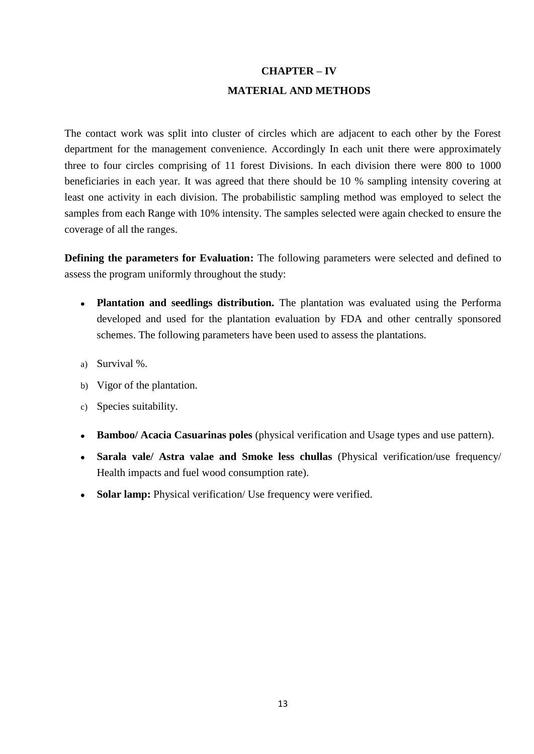# **CHAPTER – IV MATERIAL AND METHODS**

The contact work was split into cluster of circles which are adjacent to each other by the Forest department for the management convenience. Accordingly In each unit there were approximately three to four circles comprising of 11 forest Divisions. In each division there were 800 to 1000 beneficiaries in each year. It was agreed that there should be 10 % sampling intensity covering at least one activity in each division. The probabilistic sampling method was employed to select the samples from each Range with 10% intensity. The samples selected were again checked to ensure the coverage of all the ranges.

**Defining the parameters for Evaluation:** The following parameters were selected and defined to assess the program uniformly throughout the study:

- **Plantation and seedlings distribution.** The plantation was evaluated using the Performa developed and used for the plantation evaluation by FDA and other centrally sponsored schemes. The following parameters have been used to assess the plantations.
- a) Survival %.
- b) Vigor of the plantation.
- c) Species suitability.
- $\bullet$ **Bamboo/ Acacia Casuarinas poles** (physical verification and Usage types and use pattern).
- **Sarala vale/ Astra valae and Smoke less chullas** (Physical verification/use frequency/ Health impacts and fuel wood consumption rate).
- **Solar lamp:** Physical verification/ Use frequency were verified.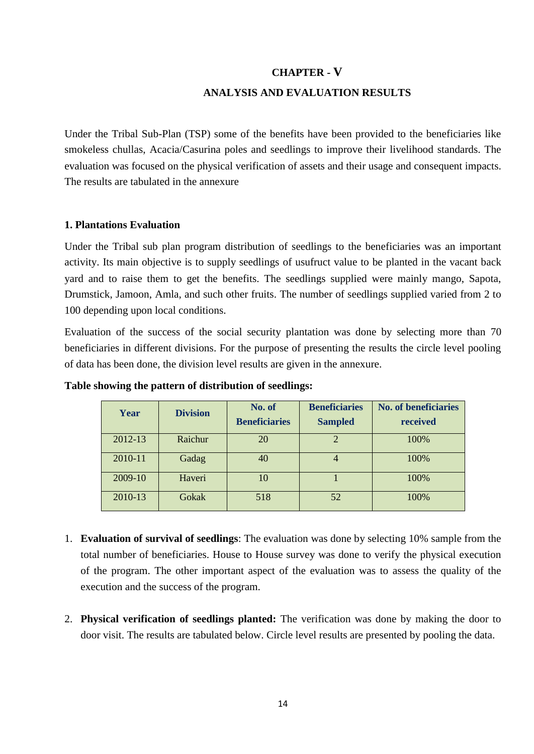## **CHAPTER - V**

## **ANALYSIS AND EVALUATION RESULTS**

Under the Tribal Sub-Plan (TSP) some of the benefits have been provided to the beneficiaries like smokeless chullas, Acacia/Casurina poles and seedlings to improve their livelihood standards. The evaluation was focused on the physical verification of assets and their usage and consequent impacts. The results are tabulated in the annexure

## **1. Plantations Evaluation**

Under the Tribal sub plan program distribution of seedlings to the beneficiaries was an important activity. Its main objective is to supply seedlings of usufruct value to be planted in the vacant back yard and to raise them to get the benefits. The seedlings supplied were mainly mango, Sapota, Drumstick, Jamoon, Amla, and such other fruits. The number of seedlings supplied varied from 2 to 100 depending upon local conditions.

Evaluation of the success of the social security plantation was done by selecting more than 70 beneficiaries in different divisions. For the purpose of presenting the results the circle level pooling of data has been done, the division level results are given in the annexure.

| Year    | <b>Division</b> | No. of<br><b>Beneficiaries</b> | <b>Beneficiaries</b><br><b>Sampled</b> | <b>No. of beneficiaries</b><br>received |
|---------|-----------------|--------------------------------|----------------------------------------|-----------------------------------------|
| 2012-13 | Raichur         | 20                             | $\overline{c}$                         | 100%                                    |
| 2010-11 | Gadag           | 40                             | $\overline{4}$                         | 100%                                    |
| 2009-10 | Haveri          | 10                             |                                        | 100%                                    |
| 2010-13 | Gokak           | 518                            | 52                                     | 100%                                    |

#### **Table showing the pattern of distribution of seedlings:**

- 1. **Evaluation of survival of seedlings**: The evaluation was done by selecting 10% sample from the total number of beneficiaries. House to House survey was done to verify the physical execution of the program. The other important aspect of the evaluation was to assess the quality of the execution and the success of the program.
- 2. **Physical verification of seedlings planted:** The verification was done by making the door to door visit. The results are tabulated below. Circle level results are presented by pooling the data.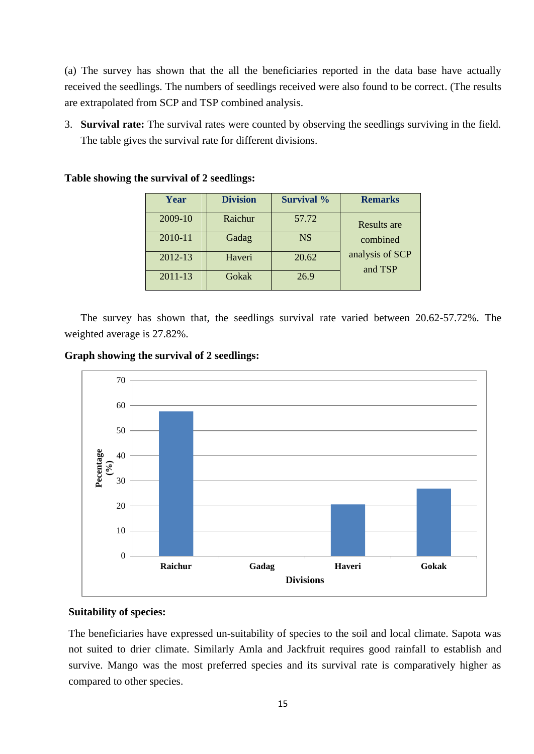(a) The survey has shown that the all the beneficiaries reported in the data base have actually received the seedlings. The numbers of seedlings received were also found to be correct. (The results are extrapolated from SCP and TSP combined analysis.

3. **Survival rate:** The survival rates were counted by observing the seedlings surviving in the field. The table gives the survival rate for different divisions.

| Year    | <b>Division</b> | <b>Survival</b> % | <b>Remarks</b>             |
|---------|-----------------|-------------------|----------------------------|
| 2009-10 | Raichur         | 57.72             | Results are                |
| 2010-11 | Gadag           | <b>NS</b>         | combined                   |
| 2012-13 | Haveri          | 20.62             | analysis of SCP<br>and TSP |
| 2011-13 | Gokak           | 26.9              |                            |

**Table showing the survival of 2 seedlings:**

The survey has shown that, the seedlings survival rate varied between 20.62-57.72%. The weighted average is 27.82%.

**Graph showing the survival of 2 seedlings:**



## **Suitability of species:**

The beneficiaries have expressed un-suitability of species to the soil and local climate. Sapota was not suited to drier climate. Similarly Amla and Jackfruit requires good rainfall to establish and survive. Mango was the most preferred species and its survival rate is comparatively higher as compared to other species.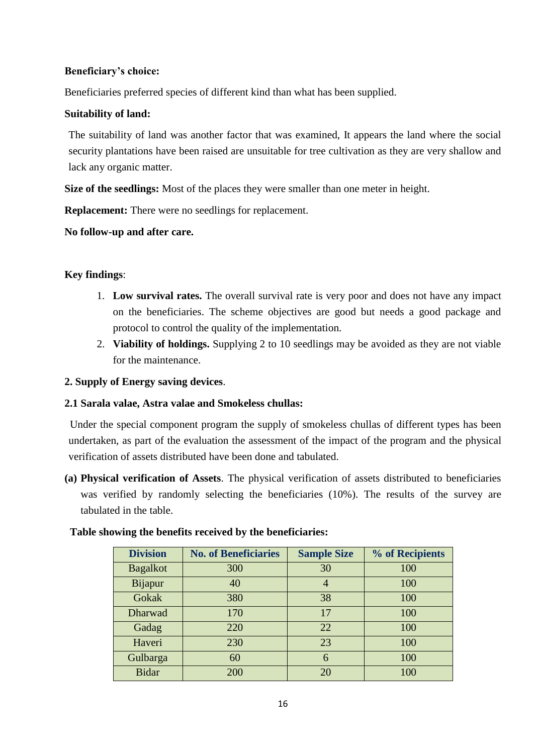## **Beneficiary's choice:**

Beneficiaries preferred species of different kind than what has been supplied.

## **Suitability of land:**

The suitability of land was another factor that was examined, It appears the land where the social security plantations have been raised are unsuitable for tree cultivation as they are very shallow and lack any organic matter.

**Size of the seedlings:** Most of the places they were smaller than one meter in height.

**Replacement:** There were no seedlings for replacement.

**No follow-up and after care.**

## **Key findings**:

- 1. **Low survival rates.** The overall survival rate is very poor and does not have any impact on the beneficiaries. The scheme objectives are good but needs a good package and protocol to control the quality of the implementation.
- 2. **Viability of holdings.** Supplying 2 to 10 seedlings may be avoided as they are not viable for the maintenance.

## **2. Supply of Energy saving devices**.

## **2.1 Sarala valae, Astra valae and Smokeless chullas:**

Under the special component program the supply of smokeless chullas of different types has been undertaken, as part of the evaluation the assessment of the impact of the program and the physical verification of assets distributed have been done and tabulated.

**(a) Physical verification of Assets**. The physical verification of assets distributed to beneficiaries was verified by randomly selecting the beneficiaries (10%). The results of the survey are tabulated in the table.

| Table showing the benefits received by the beneficiaries: |  |  |
|-----------------------------------------------------------|--|--|
|                                                           |  |  |

| <b>Division</b> | <b>No. of Beneficiaries</b> | <b>Sample Size</b> | % of Recipients |
|-----------------|-----------------------------|--------------------|-----------------|
| <b>Bagalkot</b> | 300                         | 30                 | 100             |
| Bijapur         | 40                          | 4                  | 100             |
| Gokak           | 380                         | 38                 | 100             |
| Dharwad         | 170                         | 17                 | 100             |
| Gadag           | 220                         | 22                 | 100             |
| Haveri          | 230                         | 23                 | 100             |
| Gulbarga        | 60                          | 6                  | 100             |
| <b>Bidar</b>    | 200                         | 20                 | 100             |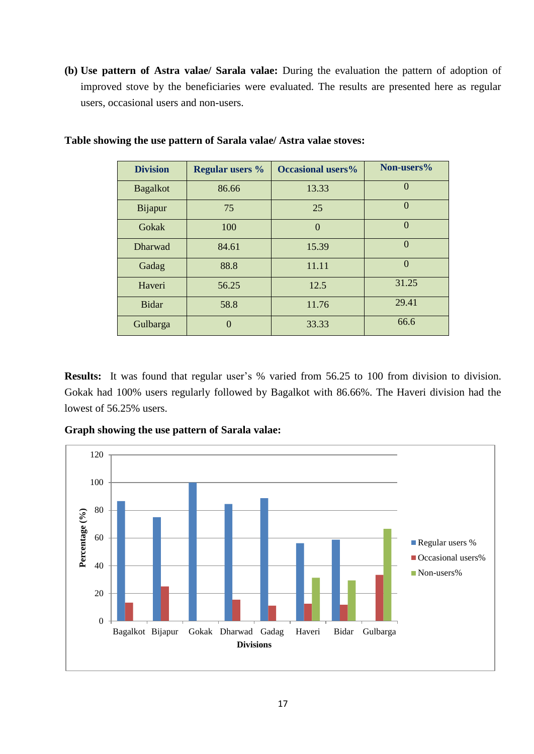**(b) Use pattern of Astra valae/ Sarala valae:** During the evaluation the pattern of adoption of improved stove by the beneficiaries were evaluated. The results are presented here as regular users, occasional users and non-users.

| <b>Division</b> | <b>Regular users %</b> | <b>Occasional users%</b> | Non-users% |
|-----------------|------------------------|--------------------------|------------|
| <b>Bagalkot</b> | 86.66                  | 13.33                    | $\Omega$   |
| <b>Bijapur</b>  | 75                     | 25                       | $\Omega$   |
| Gokak           | 100                    | $\Omega$                 | $\Omega$   |
| Dharwad         | 84.61                  | 15.39                    | $\Omega$   |
| Gadag           | 88.8                   | 11.11                    | $\Omega$   |
| Haveri          | 56.25                  | 12.5                     | 31.25      |
| <b>Bidar</b>    | 58.8                   | 11.76                    | 29.41      |
| Gulbarga        | $\Omega$               | 33.33                    | 66.6       |

## **Table showing the use pattern of Sarala valae/ Astra valae stoves:**

**Results:** It was found that regular user's % varied from 56.25 to 100 from division to division. Gokak had 100% users regularly followed by Bagalkot with 86.66%. The Haveri division had the lowest of 56.25% users.

**Graph showing the use pattern of Sarala valae:**

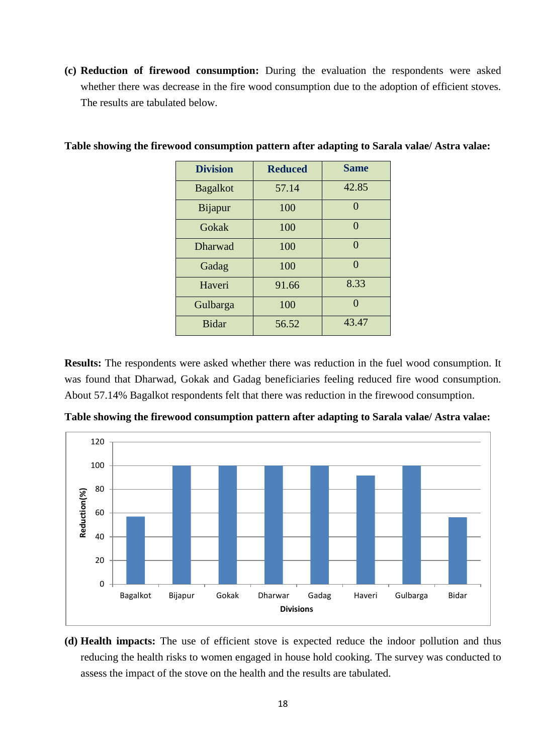**(c) Reduction of firewood consumption:** During the evaluation the respondents were asked whether there was decrease in the fire wood consumption due to the adoption of efficient stoves. The results are tabulated below.

| <b>Division</b> | <b>Reduced</b> | <b>Same</b> |
|-----------------|----------------|-------------|
| <b>Bagalkot</b> | 57.14          | 42.85       |
| <b>Bijapur</b>  | 100            | $\Omega$    |
| Gokak           | 100            | 0           |
| <b>Dharwad</b>  | 100            | 0           |
| Gadag           | 100            | ∩           |
| Haveri          | 91.66          | 8.33        |
| Gulbarga        | 100            |             |
| <b>Bidar</b>    | 56.52          | 43.47       |

## **Table showing the firewood consumption pattern after adapting to Sarala valae/ Astra valae:**

**Results:** The respondents were asked whether there was reduction in the fuel wood consumption. It was found that Dharwad, Gokak and Gadag beneficiaries feeling reduced fire wood consumption. About 57.14% Bagalkot respondents felt that there was reduction in the firewood consumption.



**Table showing the firewood consumption pattern after adapting to Sarala valae/ Astra valae:**

**(d) Health impacts:** The use of efficient stove is expected reduce the indoor pollution and thus reducing the health risks to women engaged in house hold cooking. The survey was conducted to assess the impact of the stove on the health and the results are tabulated.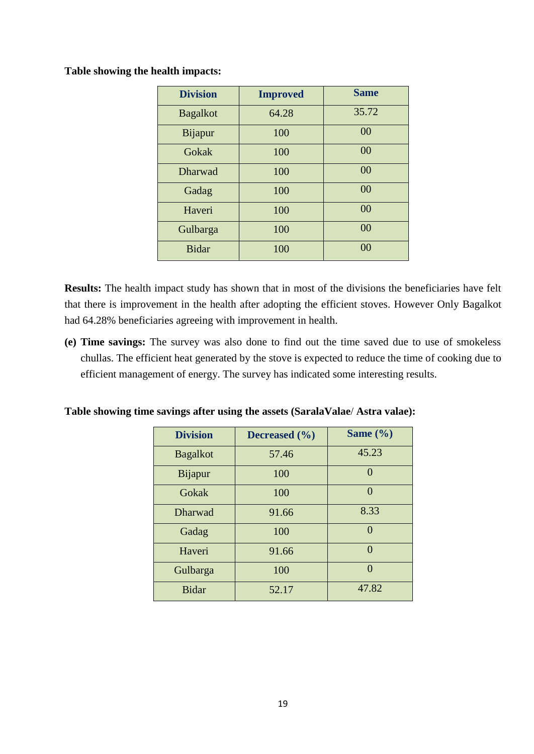**Table showing the health impacts:**

| <b>Division</b> | <b>Improved</b> | <b>Same</b>    |
|-----------------|-----------------|----------------|
| <b>Bagalkot</b> | 64.28           | 35.72          |
| Bijapur         | 100             | 00             |
| Gokak           | 100             | 00             |
| Dharwad         | 100             | 0 <sub>0</sub> |
| Gadag           | 100             | 00             |
| Haveri          | 100             | 00             |
| Gulbarga        | 100             | 00             |
| <b>Bidar</b>    | 100             | 0 <sup>0</sup> |

**Results:** The health impact study has shown that in most of the divisions the beneficiaries have felt that there is improvement in the health after adopting the efficient stoves. However Only Bagalkot had 64.28% beneficiaries agreeing with improvement in health.

**(e) Time savings:** The survey was also done to find out the time saved due to use of smokeless chullas. The efficient heat generated by the stove is expected to reduce the time of cooking due to efficient management of energy. The survey has indicated some interesting results.

**Table showing time savings after using the assets (SaralaValae**/ **Astra valae):**

| <b>Division</b> | Decreased $(\% )$ | Same $(\% )$ |
|-----------------|-------------------|--------------|
| <b>Bagalkot</b> | 57.46             | 45.23        |
| Bijapur         | 100               | $\Omega$     |
| Gokak           | 100               | $\Omega$     |
| Dharwad         | 91.66             | 8.33         |
| Gadag           | 100               | $\Omega$     |
| Haveri          | 91.66             | $\Omega$     |
| Gulbarga        | 100               | $\Omega$     |
| <b>Bidar</b>    | 52.17             | 47.82        |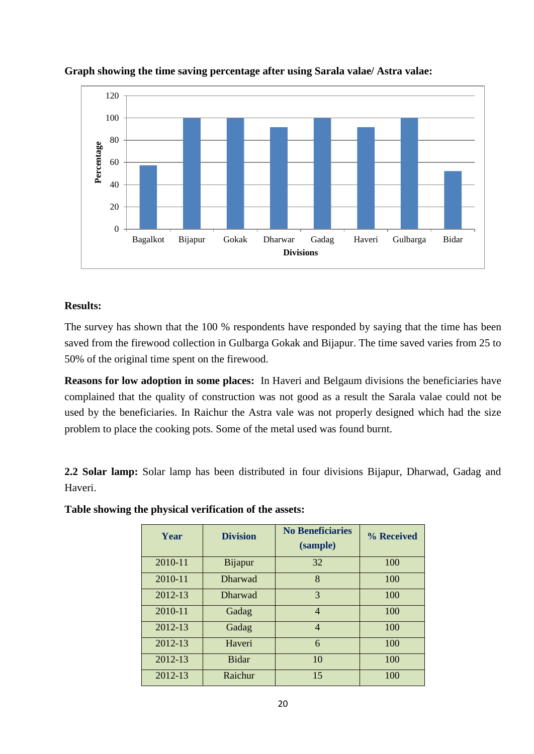

## **Graph showing the time saving percentage after using Sarala valae/ Astra valae:**

## **Results:**

The survey has shown that the 100 % respondents have responded by saying that the time has been saved from the firewood collection in Gulbarga Gokak and Bijapur. The time saved varies from 25 to 50% of the original time spent on the firewood.

**Reasons for low adoption in some places:** In Haveri and Belgaum divisions the beneficiaries have complained that the quality of construction was not good as a result the Sarala valae could not be used by the beneficiaries. In Raichur the Astra vale was not properly designed which had the size problem to place the cooking pots. Some of the metal used was found burnt.

**2.2 Solar lamp:** Solar lamp has been distributed in four divisions Bijapur, Dharwad, Gadag and Haveri.

| Year    | <b>Division</b> | <b>No Beneficiaries</b><br>(sample) | % Received |
|---------|-----------------|-------------------------------------|------------|
| 2010-11 | <b>Bijapur</b>  | 32                                  | 100        |
| 2010-11 | <b>Dharwad</b>  | 8                                   | 100        |
| 2012-13 | <b>Dharwad</b>  | 3                                   | 100        |
| 2010-11 | Gadag           | $\overline{4}$                      | 100        |
| 2012-13 | Gadag           | $\overline{4}$                      | 100        |
| 2012-13 | Haveri          | 6                                   | 100        |
| 2012-13 | <b>Bidar</b>    | 10                                  | 100        |
| 2012-13 | Raichur         | 15                                  | 100        |

**Table showing the physical verification of the assets:**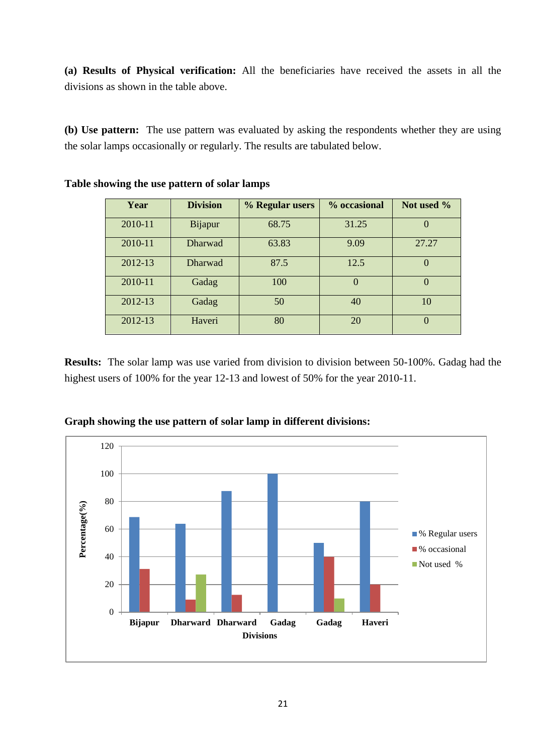**(a) Results of Physical verification:** All the beneficiaries have received the assets in all the divisions as shown in the table above.

**(b) Use pattern:** The use pattern was evaluated by asking the respondents whether they are using the solar lamps occasionally or regularly. The results are tabulated below.

| Year    | <b>Division</b> | % Regular users | % occasional | Not used % |
|---------|-----------------|-----------------|--------------|------------|
| 2010-11 | <b>Bijapur</b>  | 68.75           | 31.25        | $\Omega$   |
| 2010-11 | <b>Dharwad</b>  | 63.83           | 9.09         | 27.27      |
| 2012-13 | <b>Dharwad</b>  | 87.5            | 12.5         | $\theta$   |
| 2010-11 | Gadag           | 100             | $\Omega$     | $\theta$   |
| 2012-13 | Gadag           | 50              | 40           | 10         |
| 2012-13 | Haveri          | 80              | 20           | $\Omega$   |

**Table showing the use pattern of solar lamps**

**Results:** The solar lamp was use varied from division to division between 50-100%. Gadag had the highest users of 100% for the year 12-13 and lowest of 50% for the year 2010-11.



**Graph showing the use pattern of solar lamp in different divisions:**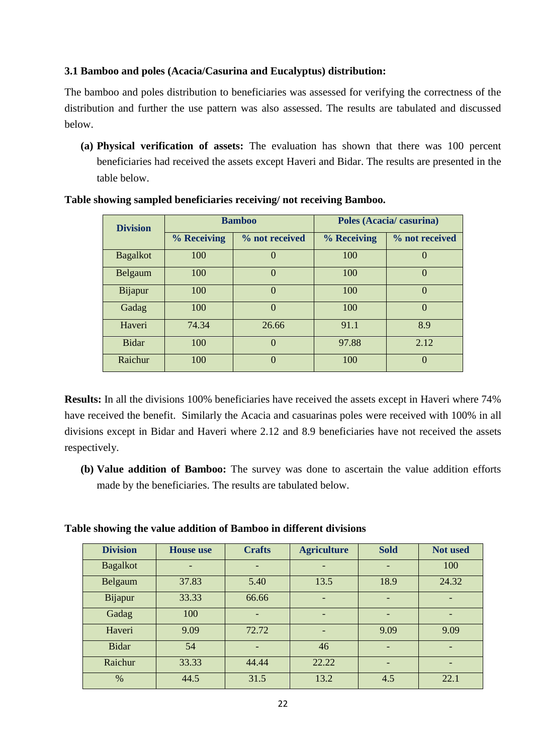## **3.1 Bamboo and poles (Acacia/Casurina and Eucalyptus) distribution:**

The bamboo and poles distribution to beneficiaries was assessed for verifying the correctness of the distribution and further the use pattern was also assessed. The results are tabulated and discussed below.

**(a) Physical verification of assets:** The evaluation has shown that there was 100 percent beneficiaries had received the assets except Haveri and Bidar. The results are presented in the table below.

| <b>Division</b> |             | <b>Bamboo</b>  | Poles (Acacia/casurina) |                  |  |
|-----------------|-------------|----------------|-------------------------|------------------|--|
|                 | % Receiving | % not received | % Receiving             | % not received   |  |
| <b>Bagalkot</b> | 100         | $\theta$       | 100                     | $\left( \right)$ |  |
| Belgaum         | 100         | $\theta$       | 100                     | $\theta$         |  |
| Bijapur         | 100         | $\Omega$       | 100                     | $\Omega$         |  |
| Gadag           | 100         | $\Omega$       | 100                     | $\theta$         |  |
| Haveri          | 74.34       | 26.66          | 91.1                    | 8.9              |  |
| <b>Bidar</b>    | 100         | $\Omega$       | 97.88                   | 2.12             |  |
| Raichur         | 100         | $\Omega$       | 100                     | $\Omega$         |  |

#### **Table showing sampled beneficiaries receiving/ not receiving Bamboo.**

**Results:** In all the divisions 100% beneficiaries have received the assets except in Haveri where 74% have received the benefit. Similarly the Acacia and casuarinas poles were received with 100% in all divisions except in Bidar and Haveri where 2.12 and 8.9 beneficiaries have not received the assets respectively.

**(b) Value addition of Bamboo:** The survey was done to ascertain the value addition efforts made by the beneficiaries. The results are tabulated below.

**Table showing the value addition of Bamboo in different divisions**

| <b>Division</b> | <b>House</b> use | <b>Crafts</b>            | <b>Agriculture</b>       | <b>Sold</b>                  | <b>Not used</b> |
|-----------------|------------------|--------------------------|--------------------------|------------------------------|-----------------|
| <b>Bagalkot</b> |                  |                          |                          |                              | 100             |
| Belgaum         | 37.83            | 5.40                     | 13.5                     | 18.9                         | 24.32           |
| <b>Bijapur</b>  | 33.33            | 66.66                    | $\overline{\phantom{0}}$ | $\qquad \qquad \blacksquare$ |                 |
| Gadag           | 100              | $\overline{\phantom{0}}$ |                          | ۰                            | -               |
| Haveri          | 9.09             | 72.72                    |                          | 9.09                         | 9.09            |
| <b>Bidar</b>    | 54               |                          | 46                       |                              |                 |
| Raichur         | 33.33            | 44.44                    | 22.22                    |                              | -               |
| $\%$            | 44.5             | 31.5                     | 13.2                     | 4.5                          | 22.1            |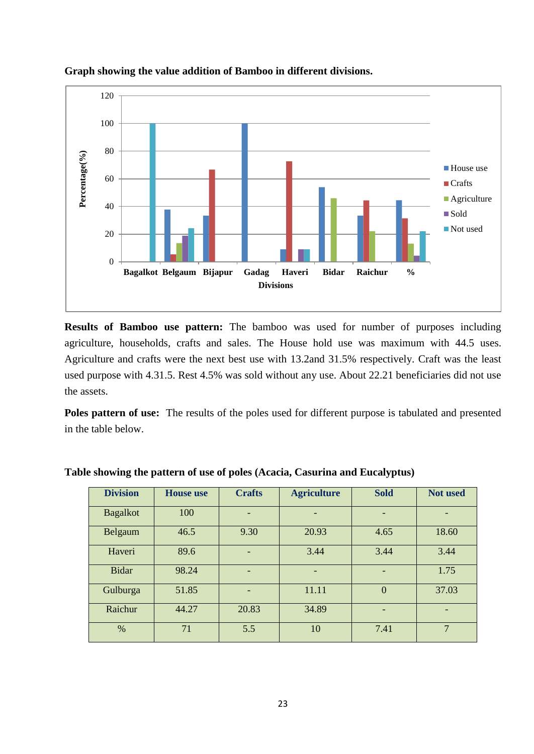

## **Graph showing the value addition of Bamboo in different divisions.**

**Results of Bamboo use pattern:** The bamboo was used for number of purposes including agriculture, households, crafts and sales. The House hold use was maximum with 44.5 uses. Agriculture and crafts were the next best use with 13.2and 31.5% respectively. Craft was the least used purpose with 4.31.5. Rest 4.5% was sold without any use. About 22.21 beneficiaries did not use the assets.

**Poles pattern of use:** The results of the poles used for different purpose is tabulated and presented in the table below.

| <b>Division</b> | <b>House</b> use | <b>Crafts</b> | <b>Agriculture</b> | <b>Sold</b>    | <b>Not used</b> |
|-----------------|------------------|---------------|--------------------|----------------|-----------------|
| <b>Bagalkot</b> | 100              | -             |                    |                |                 |
| Belgaum         | 46.5             | 9.30          | 20.93              | 4.65           | 18.60           |
| Haveri          | 89.6             |               | 3.44               | 3.44           | 3.44            |
| <b>Bidar</b>    | 98.24            |               |                    |                | 1.75            |
| Gulburga        | 51.85            | -             | 11.11              | $\overline{0}$ | 37.03           |
| Raichur         | 44.27            | 20.83         | 34.89              |                |                 |
| %               | 71               | 5.5           | 10                 | 7.41           | $\overline{7}$  |

## **Table showing the pattern of use of poles (Acacia, Casurina and Eucalyptus)**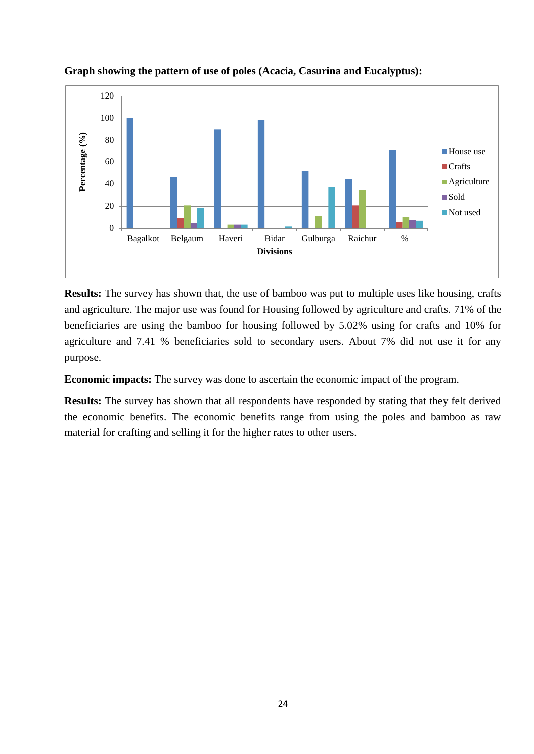

**Graph showing the pattern of use of poles (Acacia, Casurina and Eucalyptus):**

**Results:** The survey has shown that, the use of bamboo was put to multiple uses like housing, crafts and agriculture. The major use was found for Housing followed by agriculture and crafts. 71% of the beneficiaries are using the bamboo for housing followed by 5.02% using for crafts and 10% for agriculture and 7.41 % beneficiaries sold to secondary users. About 7% did not use it for any purpose.

**Economic impacts:** The survey was done to ascertain the economic impact of the program.

**Results:** The survey has shown that all respondents have responded by stating that they felt derived the economic benefits. The economic benefits range from using the poles and bamboo as raw material for crafting and selling it for the higher rates to other users.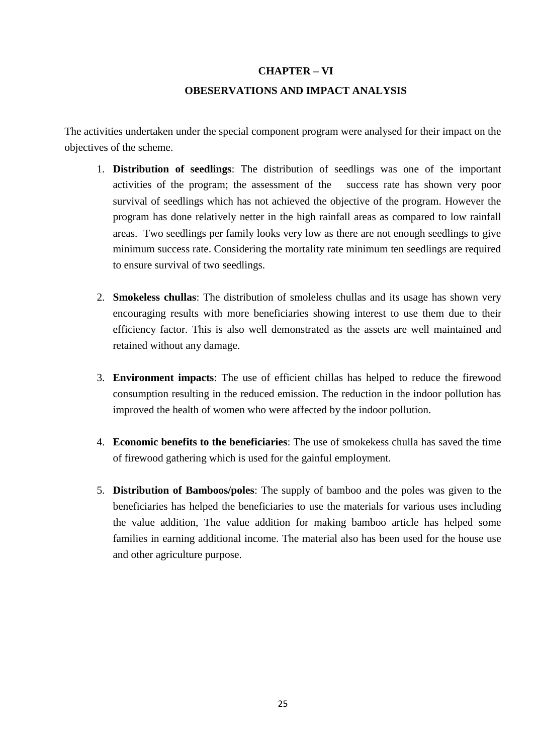## **CHAPTER – VI**

## **OBESERVATIONS AND IMPACT ANALYSIS**

The activities undertaken under the special component program were analysed for their impact on the objectives of the scheme.

- 1. **Distribution of seedlings**: The distribution of seedlings was one of the important activities of the program; the assessment of the success rate has shown very poor survival of seedlings which has not achieved the objective of the program. However the program has done relatively netter in the high rainfall areas as compared to low rainfall areas. Two seedlings per family looks very low as there are not enough seedlings to give minimum success rate. Considering the mortality rate minimum ten seedlings are required to ensure survival of two seedlings.
- 2. **Smokeless chullas**: The distribution of smoleless chullas and its usage has shown very encouraging results with more beneficiaries showing interest to use them due to their efficiency factor. This is also well demonstrated as the assets are well maintained and retained without any damage.
- 3. **Environment impacts**: The use of efficient chillas has helped to reduce the firewood consumption resulting in the reduced emission. The reduction in the indoor pollution has improved the health of women who were affected by the indoor pollution.
- 4. **Economic benefits to the beneficiaries**: The use of smokekess chulla has saved the time of firewood gathering which is used for the gainful employment.
- 5. **Distribution of Bamboos/poles**: The supply of bamboo and the poles was given to the beneficiaries has helped the beneficiaries to use the materials for various uses including the value addition, The value addition for making bamboo article has helped some families in earning additional income. The material also has been used for the house use and other agriculture purpose.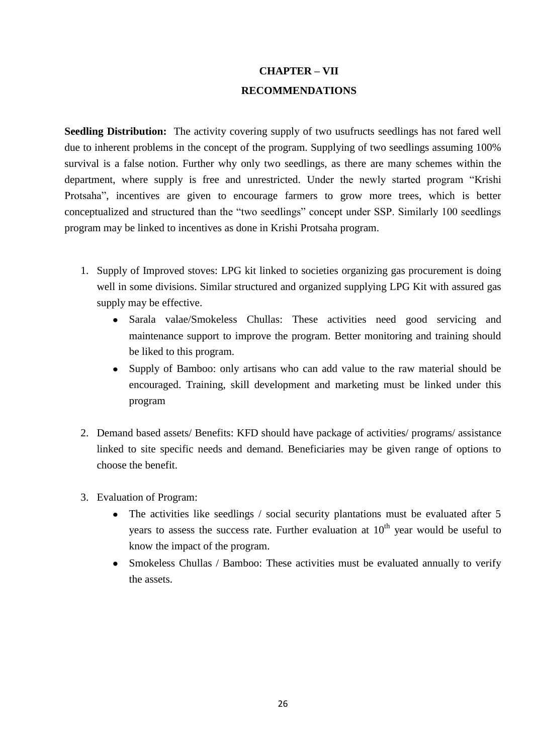# **CHAPTER – VII RECOMMENDATIONS**

**Seedling Distribution:** The activity covering supply of two usufructs seedlings has not fared well due to inherent problems in the concept of the program. Supplying of two seedlings assuming 100% survival is a false notion. Further why only two seedlings, as there are many schemes within the department, where supply is free and unrestricted. Under the newly started program "Krishi Protsaha", incentives are given to encourage farmers to grow more trees, which is better conceptualized and structured than the "two seedlings" concept under SSP. Similarly 100 seedlings program may be linked to incentives as done in Krishi Protsaha program.

- 1. Supply of Improved stoves: LPG kit linked to societies organizing gas procurement is doing well in some divisions. Similar structured and organized supplying LPG Kit with assured gas supply may be effective.
	- Sarala valae/Smokeless Chullas: These activities need good servicing and  $\bullet$ maintenance support to improve the program. Better monitoring and training should be liked to this program.
	- Supply of Bamboo: only artisans who can add value to the raw material should be encouraged. Training, skill development and marketing must be linked under this program
- 2. Demand based assets/ Benefits: KFD should have package of activities/ programs/ assistance linked to site specific needs and demand. Beneficiaries may be given range of options to choose the benefit.
- 3. Evaluation of Program:
	- The activities like seedlings / social security plantations must be evaluated after 5 years to assess the success rate. Further evaluation at  $10<sup>th</sup>$  year would be useful to know the impact of the program.
	- Smokeless Chullas / Bamboo: These activities must be evaluated annually to verify the assets.